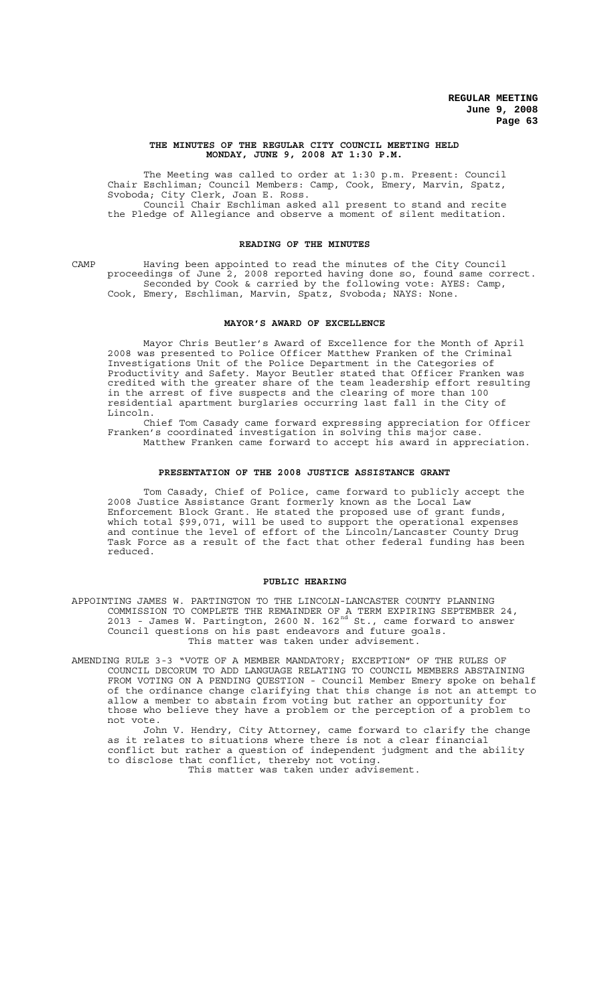#### **THE MINUTES OF THE REGULAR CITY COUNCIL MEETING HELD MONDAY, JUNE 9, 2008 AT 1:30 P.M.**

The Meeting was called to order at 1:30 p.m. Present: Council Chair Eschliman; Council Members: Camp, Cook, Emery, Marvin, Spatz, Svoboda; City Clerk, Joan E. Ross. Council Chair Eschliman asked all present to stand and recite the Pledge of Allegiance and observe a moment of silent meditation.

#### **READING OF THE MINUTES**

CAMP Having been appointed to read the minutes of the City Council proceedings of June 2, 2008 reported having done so, found same correct. Seconded by Cook & carried by the following vote: AYES: Camp, Cook, Emery, Eschliman, Marvin, Spatz, Svoboda; NAYS: None.

#### **MAYOR'S AWARD OF EXCELLENCE**

Mayor Chris Beutler's Award of Excellence for the Month of April 2008 was presented to Police Officer Matthew Franken of the Criminal Investigations Unit of the Police Department in the Categories of Productivity and Safety. Mayor Beutler stated that Officer Franken was credited with the greater share of the team leadership effort resulting in the arrest of five suspects and the clearing of more than 100 residential apartment burglaries occurring last fall in the City of Lincoln.

Chief Tom Casady came forward expressing appreciation for Officer Franken's coordinated investigation in solving this major case. Matthew Franken came forward to accept his award in appreciation.

# **PRESENTATION OF THE 2008 JUSTICE ASSISTANCE GRANT**

Tom Casady, Chief of Police, came forward to publicly accept the 2008 Justice Assistance Grant formerly known as the Local Law Enforcement Block Grant. He stated the proposed use of grant funds, which total \$99,071, will be used to support the operational expenses and continue the level of effort of the Lincoln/Lancaster County Drug Task Force as a result of the fact that other federal funding has been reduced.

#### **PUBLIC HEARING**

APPOINTING JAMES W. PARTINGTON TO THE LINCOLN-LANCASTER COUNTY PLANNING COMMISSION TO COMPLETE THE REMAINDER OF A TERM EXPIRING SEPTEMBER 24, 2013 - James W. Partington, 2600 N. 162 $^{\text{nd}}$  St., came forward to answer Council questions on his past endeavors and future goals. This matter was taken under advisement.

AMENDING RULE 3-3 "VOTE OF A MEMBER MANDATORY; EXCEPTION" OF THE RULES OF COUNCIL DECORUM TO ADD LANGUAGE RELATING TO COUNCIL MEMBERS ABSTAINING FROM VOTING ON A PENDING QUESTION - Council Member Emery spoke on behalf of the ordinance change clarifying that this change is not an attempt to allow a member to abstain from voting but rather an opportunity for those who believe they have a problem or the perception of a problem to not vote.

John V. Hendry, City Attorney, came forward to clarify the change as it relates to situations where there is not a clear financial conflict but rather a question of independent judgment and the ability to disclose that conflict, thereby not voting.

This matter was taken under advisement.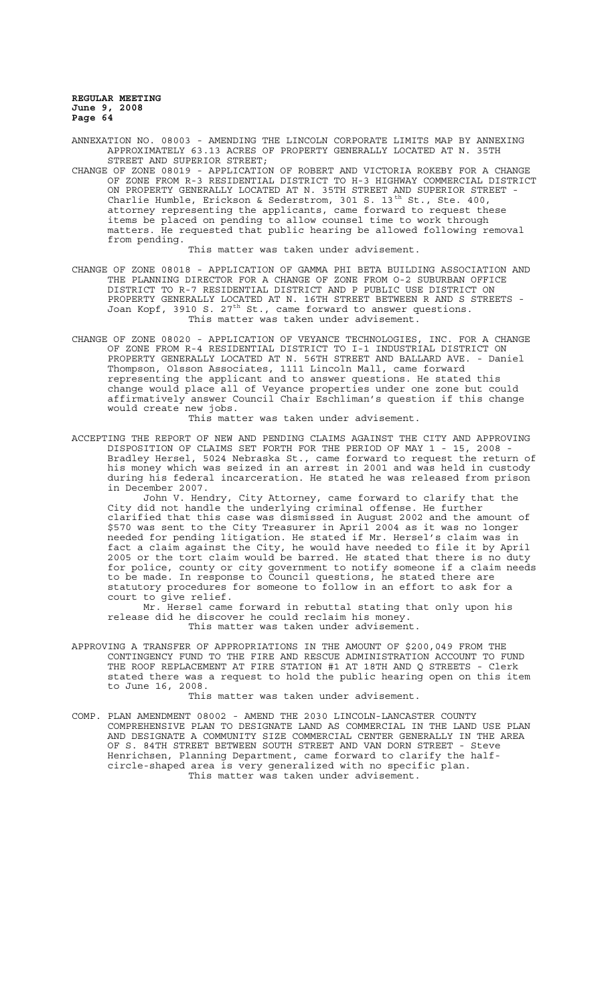- ANNEXATION NO. 08003 AMENDING THE LINCOLN CORPORATE LIMITS MAP BY ANNEXING APPROXIMATELY 63.13 ACRES OF PROPERTY GENERALLY LOCATED AT N. 35TH STREET AND SUPERIOR STREET;
- CHANGE OF ZONE 08019 APPLICATION OF ROBERT AND VICTORIA ROKEBY FOR A CHANGE OF ZONE FROM R-3 RESIDENTIAL DISTRICT TO H-3 HIGHWAY COMMERCIAL DISTRICT ON PROPERTY GENERALLY LOCATED AT N. 35TH STREET AND SUPERIOR STREET - Charlie Humble, Erickson & Sederstrom, 301 S.  $13^{\text{th}}$  St., Ste. 400, attorney representing the applicants, came forward to request these items be placed on pending to allow counsel time to work through matters. He requested that public hearing be allowed following removal from pending.

This matter was taken under advisement.

- CHANGE OF ZONE 08018 APPLICATION OF GAMMA PHI BETA BUILDING ASSOCIATION AND THE PLANNING DIRECTOR FOR A CHANGE OF ZONE FROM O-2 SUBURBAN OFFICE DISTRICT TO R-7 RESIDENTIAL DISTRICT AND P PUBLIC USE DISTRICT ON PROPERTY GENERALLY LOCATED AT N. 16TH STREET BETWEEN R AND S STREETS - Joan Kopf, 3910 S. 27<sup>th</sup> St., came forward to answer questions. This matter was taken under advisement.
- CHANGE OF ZONE 08020 APPLICATION OF VEYANCE TECHNOLOGIES, INC. FOR A CHANGE OF ZONE FROM R-4 RESIDENTIAL DISTRICT TO I-1 INDUSTRIAL DISTRICT ON PROPERTY GENERALLY LOCATED AT N. 56TH STREET AND BALLARD AVE. - Daniel Thompson, Olsson Associates, 1111 Lincoln Mall, came forward representing the applicant and to answer questions. He stated this change would place all of Veyance properties under one zone but could affirmatively answer Council Chair Eschliman's question if this change would create new jobs.

This matter was taken under advisement.

ACCEPTING THE REPORT OF NEW AND PENDING CLAIMS AGAINST THE CITY AND APPROVING DISPOSITION OF CLAIMS SET FORTH FOR THE PERIOD OF MAY 1 - 15, 2008 - Bradley Hersel, 5024 Nebraska St., came forward to request the return of his money which was seized in an arrest in 2001 and was held in custody during his federal incarceration. He stated he was released from prison in December 2007.

John V. Hendry, City Attorney, came forward to clarify that the City did not handle the underlying criminal offense. He further clarified that this case was dismissed in August 2002 and the amount of \$570 was sent to the City Treasurer in April 2004 as it was no longer needed for pending litigation. He stated if Mr. Hersel's claim was in fact a claim against the City, he would have needed to file it by April 2005 or the tort claim would be barred. He stated that there is no duty for police, county or city government to notify someone if a claim needs to be made. In response to Council questions, he stated there are statutory procedures for someone to follow in an effort to ask for a court to give relief.

Mr. Hersel came forward in rebuttal stating that only upon his release did he discover he could reclaim his money. This matter was taken under advisement.

APPROVING A TRANSFER OF APPROPRIATIONS IN THE AMOUNT OF \$200,049 FROM THE CONTINGENCY FUND TO THE FIRE AND RESCUE ADMINISTRATION ACCOUNT TO FUND THE ROOF REPLACEMENT AT FIRE STATION #1 AT 18TH AND Q STREETS - Clerk stated there was a request to hold the public hearing open on this item to June 16, 2008.

This matter was taken under advisement.

COMP. PLAN AMENDMENT 08002 - AMEND THE 2030 LINCOLN-LANCASTER COUNTY COMPREHENSIVE PLAN TO DESIGNATE LAND AS COMMERCIAL IN THE LAND USE PLAN AND DESIGNATE A COMMUNITY SIZE COMMERCIAL CENTER GENERALLY IN THE AREA OF S. 84TH STREET BETWEEN SOUTH STREET AND VAN DORN STREET - Steve Henrichsen, Planning Department, came forward to clarify the halfcircle-shaped area is very generalized with no specific plan. This matter was taken under advisement.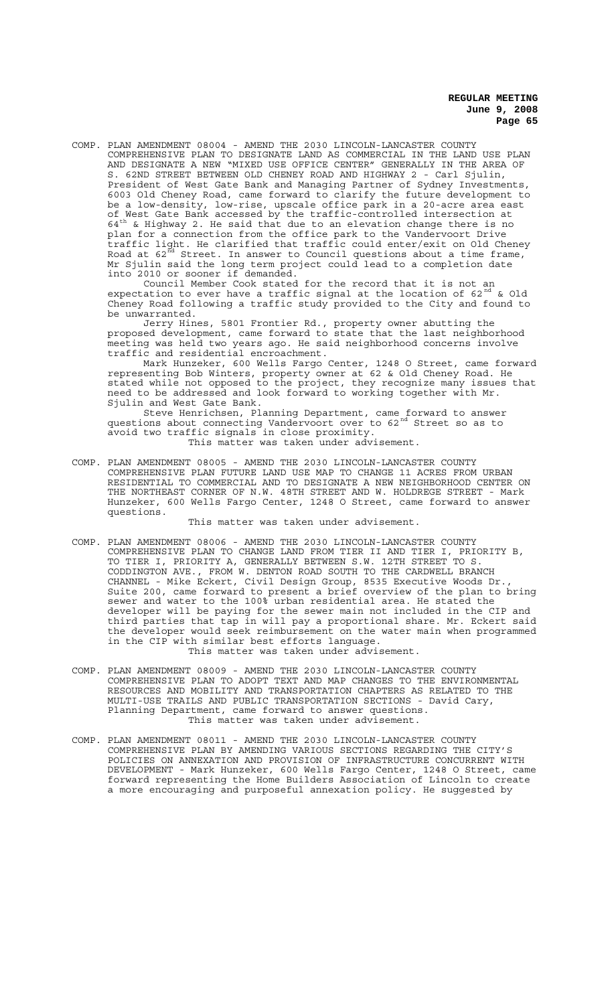COMP. PLAN AMENDMENT 08004 - AMEND THE 2030 LINCOLN-LANCASTER COUNTY COMPREHENSIVE PLAN TO DESIGNATE LAND AS COMMERCIAL IN THE LAND USE PLAN AND DESIGNATE A NEW "MIXED USE OFFICE CENTER" GENERALLY IN THE AREA OF S. 62ND STREET BETWEEN OLD CHENEY ROAD AND HIGHWAY 2 - Carl Sjulin, President of West Gate Bank and Managing Partner of Sydney Investments, 6003 Old Cheney Road, came forward to clarify the future development to be a low-density, low-rise, upscale office park in a 20-acre area east of West Gate Bank accessed by the traffic-controlled intersection at  $64^{\text{th}}$  & Highway 2. He said that due to an elevation change there is no plan for a connection from the office park to the Vandervoort Drive traffic light. He clarified that traffic could enter/exit on Old Cheney Road at 62 $^{\vec{\text{nd}}}$  Street. In answer to Council questions about a time frame, Mr Sjulin said the long term project could lead to a completion date into 2010 or sooner if demanded.

Council Member Cook stated for the record that it is not an expectation to ever have a traffic signal at the location of 62 $^{\rm nd}$  & Old Cheney Road following a traffic study provided to the City and found to be unwarranted.

Jerry Hines, 5801 Frontier Rd., property owner abutting the proposed development, came forward to state that the last neighborhood meeting was held two years ago. He said neighborhood concerns involve traffic and residential encroachment.

Mark Hunzeker, 600 Wells Fargo Center, 1248 O Street, came forward representing Bob Winters, property owner at 62 & Old Cheney Road. He stated while not opposed to the project, they recognize many issues that need to be addressed and look forward to working together with Mr. Sjulin and West Gate Bank.

Steve Henrichsen, Planning Department, came forward to answer questions about connecting Vandervoort over to 62<sup>nd</sup> Street so as to avoid two traffic signals in close proximity. This matter was taken under advisement.

COMP. PLAN AMENDMENT 08005 - AMEND THE 2030 LINCOLN-LANCASTER COUNTY COMPREHENSIVE PLAN FUTURE LAND USE MAP TO CHANGE 11 ACRES FROM URBAN RESIDENTIAL TO COMMERCIAL AND TO DESIGNATE A NEW NEIGHBORHOOD CENTER ON THE NORTHEAST CORNER OF N.W. 48TH STREET AND W. HOLDREGE STREET - Mark Hunzeker, 600 Wells Fargo Center, 1248 O Street, came forward to answer questions.

This matter was taken under advisement.

- COMP. PLAN AMENDMENT 08006 AMEND THE 2030 LINCOLN-LANCASTER COUNTY COMPREHENSIVE PLAN TO CHANGE LAND FROM TIER II AND TIER I, PRIORITY B, TO TIER I, PRIORITY A, GENERALLY BETWEEN S.W. 12TH STREET TO S. CODDINGTON AVE., FROM W. DENTON ROAD SOUTH TO THE CARDWELL BRANCH CHANNEL - Mike Eckert, Civil Design Group, 8535 Executive Woods Dr., Suite 200, came forward to present a brief overview of the plan to bring sewer and water to the 100% urban residential area. He stated the developer will be paying for the sewer main not included in the CIP and third parties that tap in will pay a proportional share. Mr. Eckert said the developer would seek reimbursement on the water main when programmed in the CIP with similar best efforts language. This matter was taken under advisement.
- COMP. PLAN AMENDMENT 08009 AMEND THE 2030 LINCOLN-LANCASTER COUNTY COMPREHENSIVE PLAN TO ADOPT TEXT AND MAP CHANGES TO THE ENVIRONMENTAL RESOURCES AND MOBILITY AND TRANSPORTATION CHAPTERS AS RELATED TO THE MULTI-USE TRAILS AND PUBLIC TRANSPORTATION SECTIONS - David Cary, Planning Department, came forward to answer questions. This matter was taken under advisement.
- COMP. PLAN AMENDMENT 08011 AMEND THE 2030 LINCOLN-LANCASTER COUNTY COMPREHENSIVE PLAN BY AMENDING VARIOUS SECTIONS REGARDING THE CITY'S POLICIES ON ANNEXATION AND PROVISION OF INFRASTRUCTURE CONCURRENT WITH DEVELOPMENT - Mark Hunzeker, 600 Wells Fargo Center, 1248 O Street, came forward representing the Home Builders Association of Lincoln to create a more encouraging and purposeful annexation policy. He suggested by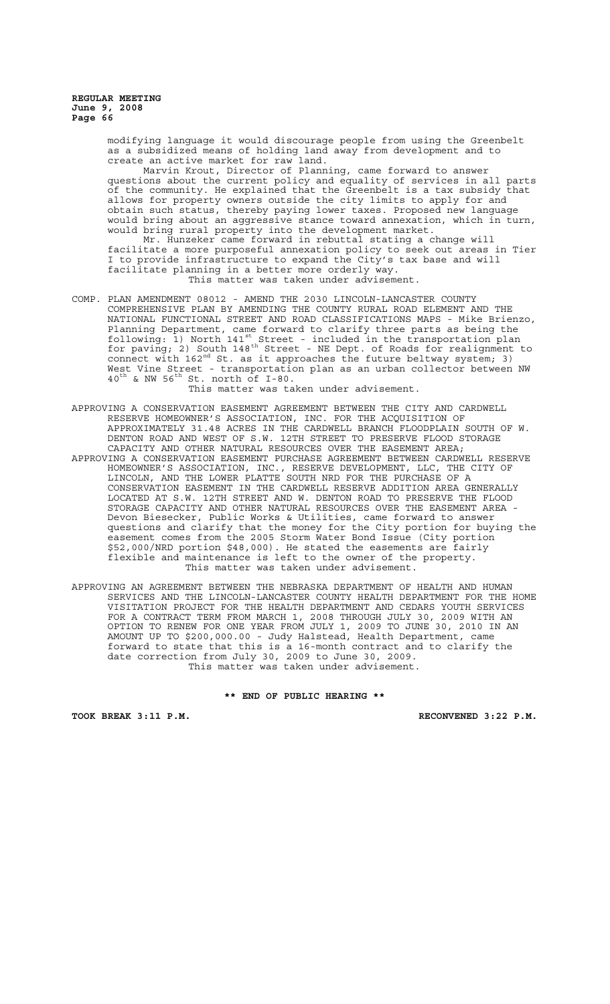> modifying language it would discourage people from using the Greenbelt as a subsidized means of holding land away from development and to create an active market for raw land.

Marvin Krout, Director of Planning, came forward to answer questions about the current policy and equality of services in all parts of the community. He explained that the Greenbelt is a tax subsidy that allows for property owners outside the city limits to apply for and obtain such status, thereby paying lower taxes. Proposed new language would bring about an aggressive stance toward annexation, which in turn, would bring rural property into the development market.

Mr. Hunzeker came forward in rebuttal stating a change will facilitate a more purposeful annexation policy to seek out areas in Tier I to provide infrastructure to expand the City's tax base and will facilitate planning in a better more orderly way. This matter was taken under advisement.

COMP. PLAN AMENDMENT 08012 - AMEND THE 2030 LINCOLN-LANCASTER COUNTY COMPREHENSIVE PLAN BY AMENDING THE COUNTY RURAL ROAD ELEMENT AND THE NATIONAL FUNCTIONAL STREET AND ROAD CLASSIFICATIONS MAPS - Mike Brienzo, Planning Department, came forward to clarify three parts as being the following: 1) North 141st Street - included in the transportation plan for paving; 2) South  $148^{\text{th}}$  Street - NE Dept. of Roads for realignment to connect with  $162<sup>nd</sup>$  St. as it approaches the future beltway system; 3) West Vine Street - transportation plan as an urban collector between NW  $40^{\text{th}}$  & NW  $56^{\text{th}}$  St. north of I-80.

This matter was taken under advisement.

- APPROVING A CONSERVATION EASEMENT AGREEMENT BETWEEN THE CITY AND CARDWELL RESERVE HOMEOWNER'S ASSOCIATION, INC. FOR THE ACQUISITION OF APPROXIMATELY 31.48 ACRES IN THE CARDWELL BRANCH FLOODPLAIN SOUTH OF W. DENTON ROAD AND WEST OF S.W. 12TH STREET TO PRESERVE FLOOD STORAGE CAPACITY AND OTHER NATURAL RESOURCES OVER THE EASEMENT AREA; APPROVING A CONSERVATION EASEMENT PURCHASE AGREEMENT BETWEEN CARDWELL RESERVE HOMEOWNER'S ASSOCIATION, INC., RESERVE DEVELOPMENT, LLC, THE CITY OF LINCOLN, AND THE LOWER PLATTE SOUTH NRD FOR THE PURCHASE OF A CONSERVATION EASEMENT IN THE CARDWELL RESERVE ADDITION AREA GENERALLY LOCATED AT S.W. 12TH STREET AND W. DENTON ROAD TO PRESERVE THE FLOOD STORAGE CAPACITY AND OTHER NATURAL RESOURCES OVER THE EASEMENT AREA - Devon Biesecker, Public Works & Utilities, came forward to answer questions and clarify that the money for the City portion for buying the easement comes from the 2005 Storm Water Bond Issue (City portion \$52,000/NRD portion \$48,000). He stated the easements are fairly flexible and maintenance is left to the owner of the property. This matter was taken under advisement.
- APPROVING AN AGREEMENT BETWEEN THE NEBRASKA DEPARTMENT OF HEALTH AND HUMAN SERVICES AND THE LINCOLN-LANCASTER COUNTY HEALTH DEPARTMENT FOR THE HOME VISITATION PROJECT FOR THE HEALTH DEPARTMENT AND CEDARS YOUTH SERVICES FOR A CONTRACT TERM FROM MARCH 1, 2008 THROUGH JULY 30, 2009 WITH AN OPTION TO RENEW FOR ONE YEAR FROM JULY 1, 2009 TO JUNE 30, 2010 IN AN AMOUNT UP TO \$200,000.00 - Judy Halstead, Health Department, came forward to state that this is a 16-month contract and to clarify the date correction from July 30, 2009 to June 30, 2009. This matter was taken under advisement.

**\*\* END OF PUBLIC HEARING \*\***

**TOOK BREAK 3:11 P.M. RECONVENED 3:22 P.M.**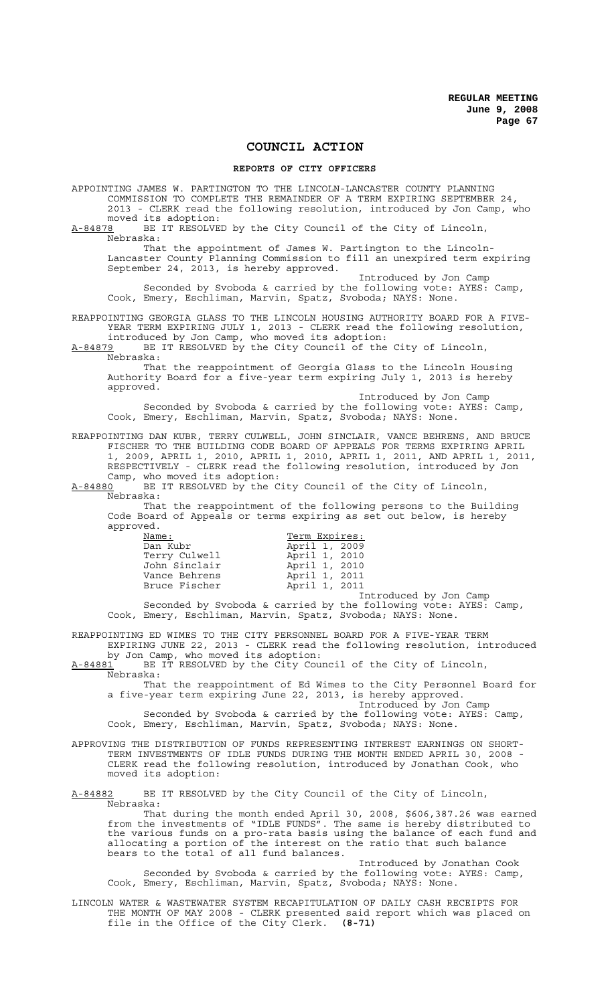# **COUNCIL ACTION**

#### **REPORTS OF CITY OFFICERS**

APPOINTING JAMES W. PARTINGTON TO THE LINCOLN-LANCASTER COUNTY PLANNING COMMISSION TO COMPLETE THE REMAINDER OF A TERM EXPIRING SEPTEMBER 24, 2013 - CLERK read the following resolution, introduced by Jon Camp, who moved its adoption:<br>A-84878 BE IT RESOLVE BE IT RESOLVED by the City Council of the City of Lincoln, Nebraska: That the appointment of James W. Partington to the Lincoln-Lancaster County Planning Commission to fill an unexpired term expiring September 24, 2013, is hereby approved. Introduced by Jon Camp Seconded by Svoboda & carried by the following vote: AYES: Camp, Cook, Emery, Eschliman, Marvin, Spatz, Svoboda; NAYS: None. REAPPOINTING GEORGIA GLASS TO THE LINCOLN HOUSING AUTHORITY BOARD FOR A FIVE-YEAR TERM EXPIRING JULY 1, 2013 - CLERK read the following resolution, introduced by Jon Camp, who moved its adoption: A-84879 BE IT RESOLVED by the City Council of the City of Lincoln, Nebraska: That the reappointment of Georgia Glass to the Lincoln Housing Authority Board for a five-year term expiring July 1, 2013 is hereby approved. Introduced by Jon Camp Seconded by Svoboda & carried by the following vote: AYES: Camp, Cook, Emery, Eschliman, Marvin, Spatz, Svoboda; NAYS: None. REAPPOINTING DAN KUBR, TERRY CULWELL, JOHN SINCLAIR, VANCE BEHRENS, AND BRUCE FISCHER TO THE BUILDING CODE BOARD OF APPEALS FOR TERMS EXPIRING APRIL 1, 2009, APRIL 1, 2010, APRIL 1, 2010, APRIL 1, 2011, AND APRIL 1, 2011, RESPECTIVELY - CLERK read the following resolution, introduced by Jon Camp, who moved its adoption: A-84880 BE IT RESOLVED by the City Council of the City of Lincoln, Nebraska: That the reappointment of the following persons to the Building Code Board of Appeals or terms expiring as set out below, is hereby approved. Name: Term Expires: April 1, 2009

|               | $110 + 11$ $1000$ |                        |
|---------------|-------------------|------------------------|
| Terry Culwell | April 1, 2010     |                        |
| John Sinclair | April 1, 2010     |                        |
| Vance Behrens | April 1, 2011     |                        |
| Bruce Fischer | April 1, 2011     |                        |
|               |                   | Introduced by Jon Camp |

Seconded by Svoboda & carried by the following vote: AYES: Camp, Cook, Emery, Eschliman, Marvin, Spatz, Svoboda; NAYS: None.

REAPPOINTING ED WIMES TO THE CITY PERSONNEL BOARD FOR A FIVE-YEAR TERM EXPIRING JUNE 22, 2013 - CLERK read the following resolution, introduced by Jon Camp, who moved its adoption:

A-84881 BE IT RESOLVED by the City Council of the City of Lincoln,  $A-84881$  BE<br>Nebraska:

That the reappointment of Ed Wimes to the City Personnel Board for a five-year term expiring June 22, 2013, is hereby approved.

Introduced by Jon Camp Seconded by Svoboda & carried by the following vote: AYES: Camp, Cook, Emery, Eschliman, Marvin, Spatz, Svoboda; NAYS: None.

APPROVING THE DISTRIBUTION OF FUNDS REPRESENTING INTEREST EARNINGS ON SHORT-TERM INVESTMENTS OF IDLE FUNDS DURING THE MONTH ENDED APRIL 30, 2008 - CLERK read the following resolution, introduced by Jonathan Cook, who moved its adoption:

A-84882 BE IT RESOLVED by the City Council of the City of Lincoln, Nebraska:

That during the month ended April 30, 2008, \$606,387.26 was earned from the investments of "IDLE FUNDS". The same is hereby distributed to the various funds on a pro-rata basis using the balance of each fund and allocating a portion of the interest on the ratio that such balance bears to the total of all fund balances.

Introduced by Jonathan Cook Seconded by Svoboda & carried by the following vote: AYES: Camp, Cook, Emery, Eschliman, Marvin, Spatz, Svoboda; NAYS: None.

LINCOLN WATER & WASTEWATER SYSTEM RECAPITULATION OF DAILY CASH RECEIPTS FOR THE MONTH OF MAY 2008 - CLERK presented said report which was placed on file in the Office of the City Clerk. **(8-71)**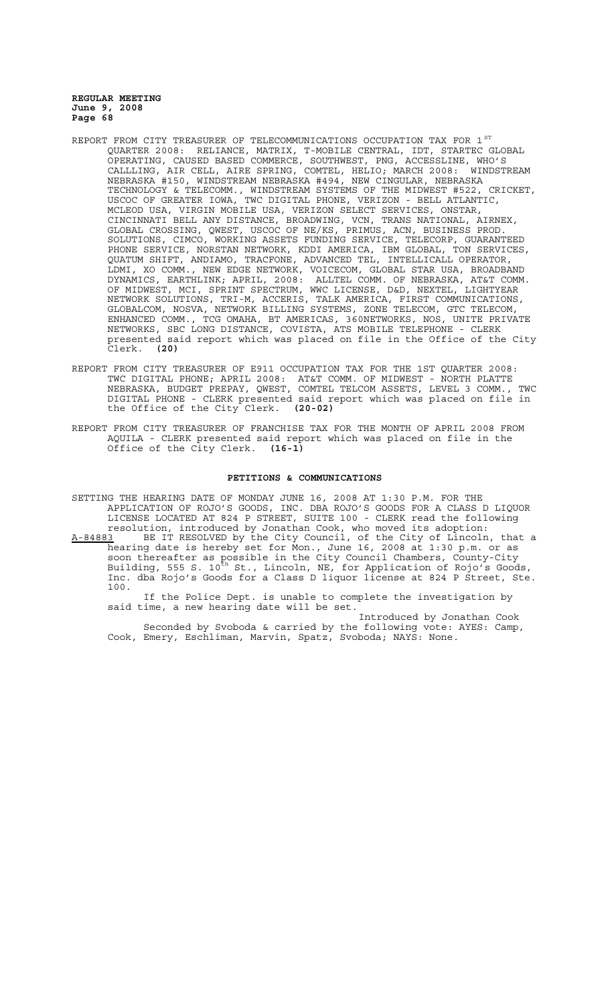- REPORT FROM CITY TREASURER OF TELECOMMUNICATIONS OCCUPATION TAX FOR 1<sup>st</sup> QUARTER 2008: RELIANCE, MATRIX, T-MOBILE CENTRAL, IDT, STARTEC GLOBAL OPERATING, CAUSED BASED COMMERCE, SOUTHWEST, PNG, ACCESSLINE, WHO'S CALLLING, AIR CELL, AIRE SPRING, COMTEL, HELIO; MARCH 2008: WINDSTREAM NEBRASKA #150, WINDSTREAM NEBRASKA #494, NEW CINGULAR, NEBRASKA TECHNOLOGY & TELECOMM., WINDSTREAM SYSTEMS OF THE MIDWEST #522, CRICKET, USCOC OF GREATER IOWA, TWC DIGITAL PHONE, VERIZON - BELL ATLANTIC, MCLEOD USA, VIRGIN MOBILE USA, VERIZON SELECT SERVICES, ONSTAR, CINCINNATI BELL ANY DISTANCE, BROADWING, VCN, TRANS NATIONAL, AIRNEX, GLOBAL CROSSING, QWEST, USCOC OF NE/KS, PRIMUS, ACN, BUSINESS PROD. SOLUTIONS, CIMCO, WORKING ASSETS FUNDING SERVICE, TELECORP, GUARANTEED PHONE SERVICE, NORSTAN NETWORK, KDDI AMERICA, IBM GLOBAL, TON SERVICES, QUATUM SHIFT, ANDIAMO, TRACFONE, ADVANCED TEL, INTELLICALL OPERATOR, LDMI, XO COMM., NEW EDGE NETWORK, VOICECOM, GLOBAL STAR USA, BROADBAND DYNAMICS, EARTHLINK; APRIL, 2008: ALLTEL COMM. OF NEBRASKA, AT&T COMM. OF MIDWEST, MCI, SPRINT SPECTRUM, WWC LICENSE, D&D, NEXTEL, LIGHTYEAR NETWORK SOLUTIONS, TRI-M, ACCERIS, TALK AMERICA, FIRST COMMUNICATIONS, GLOBALCOM, NOSVA, NETWORK BILLING SYSTEMS, ZONE TELECOM, GTC TELECOM, ENHANCED COMM., TCG OMAHA, BT AMERICAS, 360NETWORKS, NOS, UNITE PRIVATE NETWORKS, SBC LONG DISTANCE, COVISTA, ATS MOBILE TELEPHONE - CLERK presented said report which was placed on file in the Office of the City<br>Clerk. (20)<br>Clerk. (20) Clerk. **(20)**
- REPORT FROM CITY TREASURER OF E911 OCCUPATION TAX FOR THE 1ST QUARTER 2008: TWC DIGITAL PHONE; APRIL 2008: AT&T COMM. OF MIDWEST - NORTH PLATTE NEBRASKA, BUDGET PREPAY, QWEST, COMTEL TELCOM ASSETS, LEVEL 3 COMM., TWC DIGITAL PHONE - CLERK presented said report which was placed on file in<br>the Office of the City Clerk. (20-02) the Office of the City Clerk. **(20-02)**
- REPORT FROM CITY TREASURER OF FRANCHISE TAX FOR THE MONTH OF APRIL 2008 FROM AQUILA - CLERK presented said report which was placed on file in the Office of the City Clerk. **(16-1)**

#### **PETITIONS & COMMUNICATIONS**

SETTING THE HEARING DATE OF MONDAY JUNE 16, 2008 AT 1:30 P.M. FOR THE APPLICATION OF ROJO'S GOODS, INC. DBA ROJO'S GOODS FOR A CLASS D LIQUOR LICENSE LOCATED AT 824 P STREET, SUITE 100 - CLERK read the following resolution, introduced by Jonathan Cook, who moved its adoption: A-84883 BE IT RESOLVED by the City Council, of the City of Lincoln, that a hearing date is hereby set for Mon., June 16, 2008 at 1:30 p.m. or as soon thereafter as possible in the City Council Chambers, County-City Building, 555 S. 10<sup>th</sup> St., Lincoln, NE, for Application of Rojo's Goods, Inc. dba Rojo's Goods for a Class D liquor license at 824 P Street, Ste. 100. If the Police Dept. is unable to complete the investigation by

said time, a new hearing date will be set. Introduced by Jonathan Cook

Seconded by Svoboda & carried by the following vote: AYES: Camp, Cook, Emery, Eschliman, Marvin, Spatz, Svoboda; NAYS: None.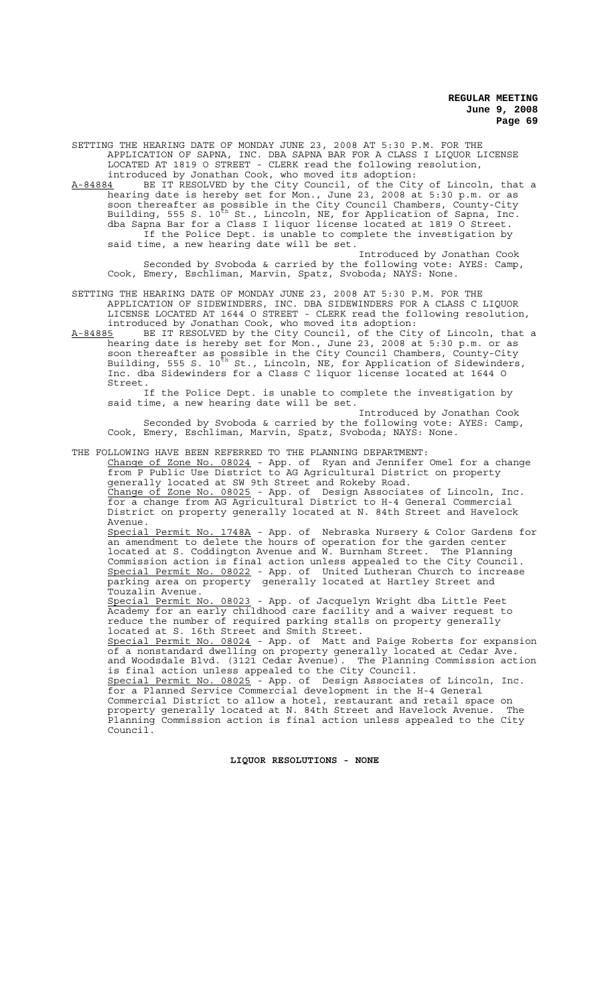SETTING THE HEARING DATE OF MONDAY JUNE 23, 2008 AT 5:30 P.M. FOR THE APPLICATION OF SAPNA, INC. DBA SAPNA BAR FOR A CLASS I LIQUOR LICENSE LOCATED AT 1819 O STREET - CLERK read the following resolution, introduced by Jonathan Cook, who moved its adoption:

A-84884 BE IT RESOLVED by the City Council, of the City of Lincoln, that a hearing date is hereby set for Mon., June 23, 2008 at 5:30 p.m. or as soon thereafter as possible in the City Council Chambers, County-City Building, 555 S. 10<sup>th</sup> St., Lincoln, NE, for Application of Sapna, Inc. dba Sapna Bar for a Class I liquor license located at 1819 O Street. If the Police Dept. is unable to complete the investigation by said time, a new hearing date will be set.

Introduced by Jonathan Cook Seconded by Svoboda & carried by the following vote: AYES: Camp, Cook, Emery, Eschliman, Marvin, Spatz, Svoboda; NAYS: None.

SETTING THE HEARING DATE OF MONDAY JUNE 23, 2008 AT 5:30 P.M. FOR THE APPLICATION OF SIDEWINDERS, INC. DBA SIDEWINDERS FOR A CLASS C LIQUOR LICENSE LOCATED AT 1644 O STREET - CLERK read the following resolution, introduced by Jonathan Cook, who moved its adoption:

A-84885 BE IT RESOLVED by the City Council, of the City of Lincoln, that a hearing date is hereby set for Mon., June 23, 2008 at 5:30 p.m. or as soon thereafter as possible in the City Council Chambers, County-City Building, 555 S. 10<sup>th</sup> St., Lincoln, NE, for Application of Sidewinders, Inc. dba Sidewinders for a Class C liquor license located at 1644 O Street.

If the Police Dept. is unable to complete the investigation by said time, a new hearing date will be set.

Introduced by Jonathan Cook Seconded by Svoboda & carried by the following vote: AYES: Camp, Cook, Emery, Eschliman, Marvin, Spatz, Svoboda; NAYS: None.

THE FOLLOWING HAVE BEEN REFERRED TO THE PLANNING DEPARTMENT: Change of Zone No. 08024 - App. of Ryan and Jennifer Omel for a change from P Public Use District to AG Agricultural District on property generally located at SW 9th Street and Rokeby Road. Change of Zone No. 08025 - App. of Design Associates of Lincoln, Inc. for a change from AG Agricultural District to H-4 General Commercial District on property generally located at N. 84th Street and Havelock Avenue. Special Permit No. 1748A - App. of Nebraska Nursery & Color Gardens for an amendment to delete the hours of operation for the garden center located at S. Coddington Avenue and W. Burnham Street. The Planning Commission action is final action unless appealed to the City Council. Special Permit No. 08022 - App. of United Lutheran Church to increase parking area on property generally located at Hartley Street and parking area on property<br>Touzalin Avenue. Special Permit No. 08023 - App. of Jacquelyn Wright dba Little Feet Academy for an early childhood care facility and a waiver request to reduce the number of required parking stalls on property generally located at S. 16th Street and Smith Street. Special Permit No. 08024 - App. of Matt and Paige Roberts for expansion of a nonstandard dwelling on property generally located at Cedar Ave. and Woodsdale Blvd. (3121 Cedar Avenue). The Planning Commission action is final action unless appealed to the City Council. Special Permit No. 08025 - App. of Design Associates of Lincoln, Inc. for a Planned Service Commercial development in the H-4 General Commercial District to allow a hotel, restaurant and retail space on property generally located at N. 84th Street and Havelock Avenue. The Planning Commission action is final action unless appealed to the City Council.

**LIQUOR RESOLUTIONS - NONE**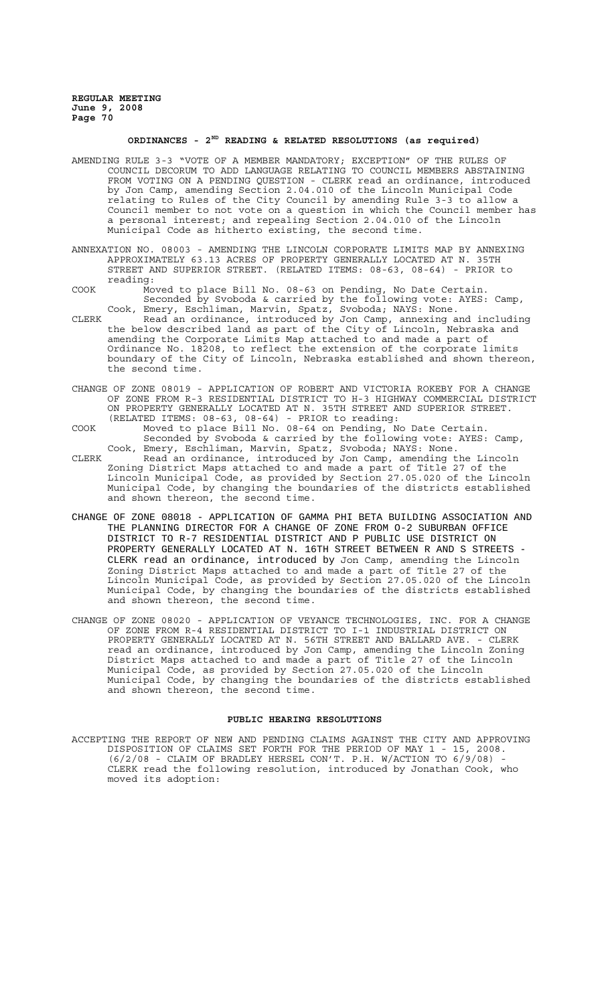## **ORDINANCES - 2ND READING & RELATED RESOLUTIONS (as required)**

- AMENDING RULE 3-3 "VOTE OF A MEMBER MANDATORY; EXCEPTION" OF THE RULES OF COUNCIL DECORUM TO ADD LANGUAGE RELATING TO COUNCIL MEMBERS ABSTAINING FROM VOTING ON A PENDING QUESTION - CLERK read an ordinance, introduced by Jon Camp, amending Section 2.04.010 of the Lincoln Municipal Code relating to Rules of the City Council by amending Rule 3-3 to allow a Council member to not vote on a question in which the Council member has a personal interest; and repealing Section 2.04.010 of the Lincoln Municipal Code as hitherto existing, the second time.
- ANNEXATION NO. 08003 AMENDING THE LINCOLN CORPORATE LIMITS MAP BY ANNEXING APPROXIMATELY 63.13 ACRES OF PROPERTY GENERALLY LOCATED AT N. 35TH STREET AND SUPERIOR STREET. (RELATED ITEMS: 08-63, 08-64) - PRIOR to reading:
- COOK Moved to place Bill No. 08-63 on Pending, No Date Certain. Seconded by Svoboda & carried by the following vote: AYES: Camp, Cook, Emery, Eschliman, Marvin, Spatz, Svoboda; NAYS: None.
- CLERK Read an ordinance, introduced by Jon Camp, annexing and including the below described land as part of the City of Lincoln, Nebraska and amending the Corporate Limits Map attached to and made a part of Ordinance No. 18208, to reflect the extension of the corporate limits boundary of the City of Lincoln, Nebraska established and shown thereon, the second time.
- CHANGE OF ZONE 08019 APPLICATION OF ROBERT AND VICTORIA ROKEBY FOR A CHANGE OF ZONE FROM R-3 RESIDENTIAL DISTRICT TO H-3 HIGHWAY COMMERCIAL DISTRICT ON PROPERTY GENERALLY LOCATED AT N. 35TH STREET AND SUPERIOR STREET. (RELATED ITEMS: 08-63, 08-64) - PRIOR to reading:
- COOK Moved to place Bill No. 08-64 on Pending, No Date Certain. Seconded by Svoboda & carried by the following vote: AYES: Camp, Cook, Emery, Eschliman, Marvin, Spatz, Svoboda; NAYS: None.
- CLERK Read an ordinance, introduced by Jon Camp, amending the Lincoln Zoning District Maps attached to and made a part of Title 27 of the Lincoln Municipal Code, as provided by Section 27.05.020 of the Lincoln Municipal Code, by changing the boundaries of the districts established and shown thereon, the second time.
- CHANGE OF ZONE 08018 APPLICATION OF GAMMA PHI BETA BUILDING ASSOCIATION AND THE PLANNING DIRECTOR FOR A CHANGE OF ZONE FROM O-2 SUBURBAN OFFICE DISTRICT TO R-7 RESIDENTIAL DISTRICT AND P PUBLIC USE DISTRICT ON PROPERTY GENERALLY LOCATED AT N. 16TH STREET BETWEEN R AND S STREETS - CLERK read an ordinance, introduced by Jon Camp, amending the Lincoln Zoning District Maps attached to and made a part of Title 27 of the Lincoln Municipal Code, as provided by Section 27.05.020 of the Lincoln Municipal Code, by changing the boundaries of the districts established and shown thereon, the second time.
- CHANGE OF ZONE 08020 APPLICATION OF VEYANCE TECHNOLOGIES, INC. FOR A CHANGE OF ZONE FROM R-4 RESIDENTIAL DISTRICT TO I-1 INDUSTRIAL DISTRICT ON PROPERTY GENERALLY LOCATED AT N. 56TH STREET AND BALLARD AVE. - CLERK read an ordinance, introduced by Jon Camp, amending the Lincoln Zoning District Maps attached to and made a part of Title 27 of the Lincoln Municipal Code, as provided by Section 27.05.020 of the Lincoln Municipal Code, by changing the boundaries of the districts established and shown thereon, the second time.

#### **PUBLIC HEARING RESOLUTIONS**

ACCEPTING THE REPORT OF NEW AND PENDING CLAIMS AGAINST THE CITY AND APPROVING DISPOSITION OF CLAIMS SET FORTH FOR THE PERIOD OF MAY 1 - 15, 2008.  $(6/2/08$  - CLAIM OF BRADLEY HERSEL CON'T. P.H. W/ACTION TO  $6/9/08$ ) CLERK read the following resolution, introduced by Jonathan Cook, who moved its adoption: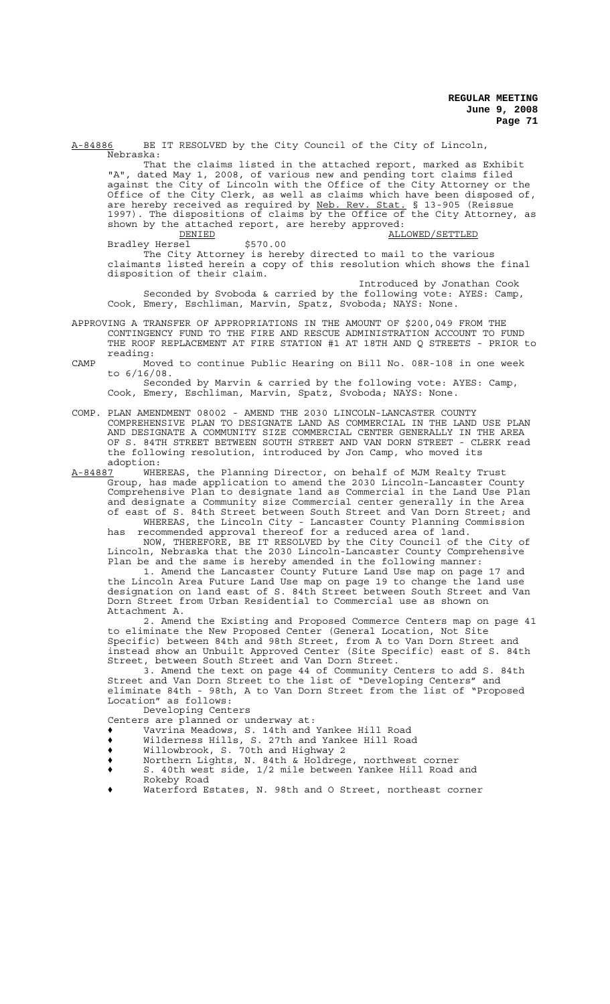A-84886 BE IT RESOLVED by the City Council of the City of Lincoln, Nebraska:

That the claims listed in the attached report, marked as Exhibit "A", dated May 1, 2008, of various new and pending tort claims filed against the City of Lincoln with the Office of the City Attorney or the Office of the City Clerk, as well as claims which have been disposed of, are hereby received as required by Neb. Rev. Stat. § 13-905 (Reissue 1997). The dispositions of claims by the Office of the City Attorney, as shown by the attached report, are hereby approved:

ERIED = TENERALLOWED/SETTLED<br>
Sel \$570.00 Bradley Hersel The City Attorney is hereby directed to mail to the various claimants listed herein a copy of this resolution which shows the final disposition of their claim.

Introduced by Jonathan Cook Seconded by Svoboda & carried by the following vote: AYES: Camp, Cook, Emery, Eschliman, Marvin, Spatz, Svoboda; NAYS: None.

- APPROVING A TRANSFER OF APPROPRIATIONS IN THE AMOUNT OF \$200,049 FROM THE CONTINGENCY FUND TO THE FIRE AND RESCUE ADMINISTRATION ACCOUNT TO FUND THE ROOF REPLACEMENT AT FIRE STATION #1 AT 18TH AND Q STREETS - PRIOR to reading:
- CAMP Moved to continue Public Hearing on Bill No. 08R-108 in one week to 6/16/08.

Seconded by Marvin & carried by the following vote: AYES: Camp, Cook, Emery, Eschliman, Marvin, Spatz, Svoboda; NAYS: None.

COMP. PLAN AMENDMENT 08002 - AMEND THE 2030 LINCOLN-LANCASTER COUNTY COMPREHENSIVE PLAN TO DESIGNATE LAND AS COMMERCIAL IN THE LAND USE PLAN AND DESIGNATE A COMMUNITY SIZE COMMERCIAL CENTER GENERALLY IN THE AREA OF S. 84TH STREET BETWEEN SOUTH STREET AND VAN DORN STREET - CLERK read the following resolution, introduced by Jon Camp, who moved its

adoption:<br>A-84887 WHE A-84887 WHEREAS, the Planning Director, on behalf of MJM Realty Trust Group, has made application to amend the 2030 Lincoln-Lancaster County Comprehensive Plan to designate land as Commercial in the Land Use Plan and designate a Community size Commercial center generally in the Area of east of S. 84th Street between South Street and Van Dorn Street; and WHEREAS, the Lincoln City - Lancaster County Planning Commission

has recommended approval thereof for a reduced area of land. NOW, THEREFORE, BE IT RESOLVED by the City Council of the City of Lincoln, Nebraska that the 2030 Lincoln-Lancaster County Comprehensive Plan be and the same is hereby amended in the following manner:

1. Amend the Lancaster County Future Land Use map on page 17 and the Lincoln Area Future Land Use map on page 19 to change the land use designation on land east of S. 84th Street between South Street and Van Dorn Street from Urban Residential to Commercial use as shown on Attachment A.

2. Amend the Existing and Proposed Commerce Centers map on page 41 to eliminate the New Proposed Center (General Location, Not Site Specific) between 84th and 98th Street, from A to Van Dorn Street and instead show an Unbuilt Approved Center (Site Specific) east of S. 84th Street, between South Street and Van Dorn Street.

3. Amend the text on page 44 of Community Centers to add S. 84th Street and Van Dorn Street to the list of "Developing Centers" and eliminate 84th - 98th, A to Van Dorn Street from the list of "Proposed Location" as follows:

Developing Centers

- Centers are planned or underway at:
- ' Vavrina Meadows, S. 14th and Yankee Hill Road
- ' Wilderness Hills, S. 27th and Yankee Hill Road
- ' Willowbrook, S. 70th and Highway 2
- ' Northern Lights, N. 84th & Holdrege, northwest corner
- ' S. 40th west side, 1/2 mile between Yankee Hill Road and Rokeby Road
- Waterford Estates, N. 98th and O Street, northeast corner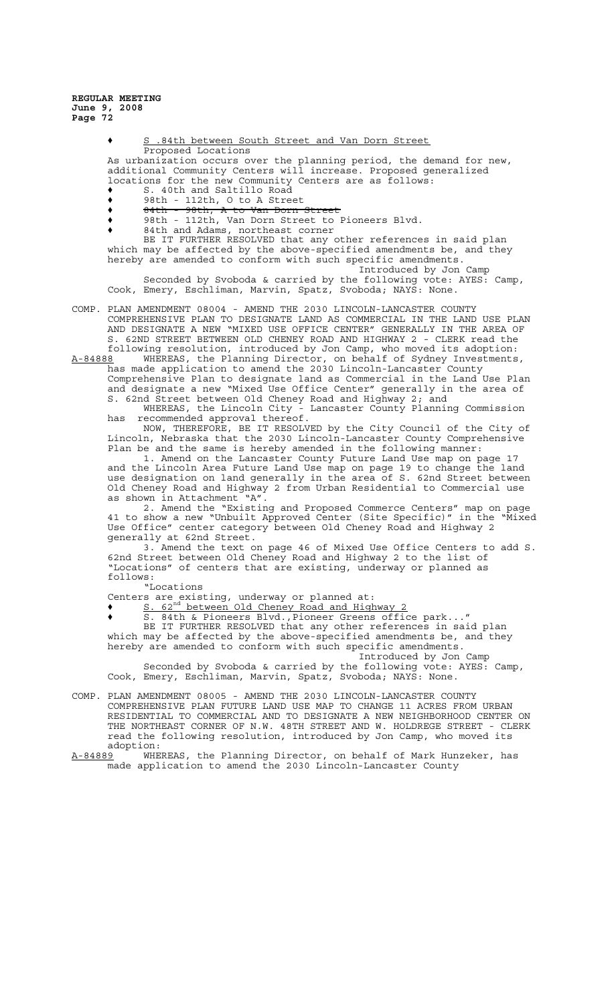> ' S .84th between South Street and Van Dorn Street Proposed Locations

As urbanization occurs over the planning period, the demand for new, additional Community Centers will increase. Proposed generalized locations for the new Community Centers are as follows:

- S. 40th and Saltillo Road
- ↑ 98th 112th, O to A Street<br>↑ 8<del>4th 98th, A to Van Dorn</del> 98th, A to Van Dorn Street
- ' 98th 112th, Van Dorn Street to Pioneers Blvd.
- 84th and Adams, northeast corner

BE IT FURTHER RESOLVED that any other references in said plan which may be affected by the above-specified amendments be, and they hereby are amended to conform with such specific amendments.

Introduced by Jon Camp Seconded by Svoboda & carried by the following vote: AYES: Camp, Cook, Emery, Eschliman, Marvin, Spatz, Svoboda; NAYS: None.

COMP. PLAN AMENDMENT 08004 - AMEND THE 2030 LINCOLN-LANCASTER COUNTY COMPREHENSIVE PLAN TO DESIGNATE LAND AS COMMERCIAL IN THE LAND USE PLAN AND DESIGNATE A NEW "MIXED USE OFFICE CENTER" GENERALLY IN THE AREA OF S. 62ND STREET BETWEEN OLD CHENEY ROAD AND HIGHWAY 2 - CLERK read the following resolution, introduced by Jon Camp, who moved its adoption:

A-84888 WHEREAS, the Planning Director, on behalf of Sydney Investments, has made application to amend the 2030 Lincoln-Lancaster County Comprehensive Plan to designate land as Commercial in the Land Use Plan and designate a new "Mixed Use Office Center" generally in the area of S. 62nd Street between Old Cheney Road and Highway 2; and

WHEREAS, the Lincoln City - Lancaster County Planning Commission has recommended approval thereof.

NOW, THEREFORE, BE IT RESOLVED by the City Council of the City of Lincoln, Nebraska that the 2030 Lincoln-Lancaster County Comprehensive Plan be and the same is hereby amended in the following manner:

1. Amend on the Lancaster County Future Land Use map on page 17 and the Lincoln Area Future Land Use map on page 19 to change the land use designation on land generally in the area of S. 62nd Street between Old Cheney Road and Highway 2 from Urban Residential to Commercial use as shown in Attachment "A".

2. Amend the "Existing and Proposed Commerce Centers" map on page 41 to show a new "Unbuilt Approved Center (Site Specific)" in the "Mixed Use Office" center category between Old Cheney Road and Highway 2 generally at 62nd Street.

3. Amend the text on page 46 of Mixed Use Office Centers to add S. 62nd Street between Old Cheney Road and Highway 2 to the list of "Locations" of centers that are existing, underway or planned as follows:

"Locations Centers are existing, underway or planned at:

◆ S. 62<sup>nd</sup> between Old Cheney Road and Highway 2

' S. 84th & Pioneers Blvd.,Pioneer Greens office park..."

BE IT FURTHER RESOLVED that any other references in said plan which may be affected by the above-specified amendments be, and they hereby are amended to conform with such specific amendments.

Introduced by Jon Camp

Seconded by Svoboda & carried by the following vote: AYES: Camp, Cook, Emery, Eschliman, Marvin, Spatz, Svoboda; NAYS: None.

COMP. PLAN AMENDMENT 08005 - AMEND THE 2030 LINCOLN-LANCASTER COUNTY COMPREHENSIVE PLAN FUTURE LAND USE MAP TO CHANGE 11 ACRES FROM URBAN RESIDENTIAL TO COMMERCIAL AND TO DESIGNATE A NEW NEIGHBORHOOD CENTER ON THE NORTHEAST CORNER OF N.W. 48TH STREET AND W. HOLDREGE STREET - CLERK read the following resolution, introduced by Jon Camp, who moved its adoption:<br>A-84889 WHE

WHEREAS, the Planning Director, on behalf of Mark Hunzeker, has made application to amend the 2030 Lincoln-Lancaster County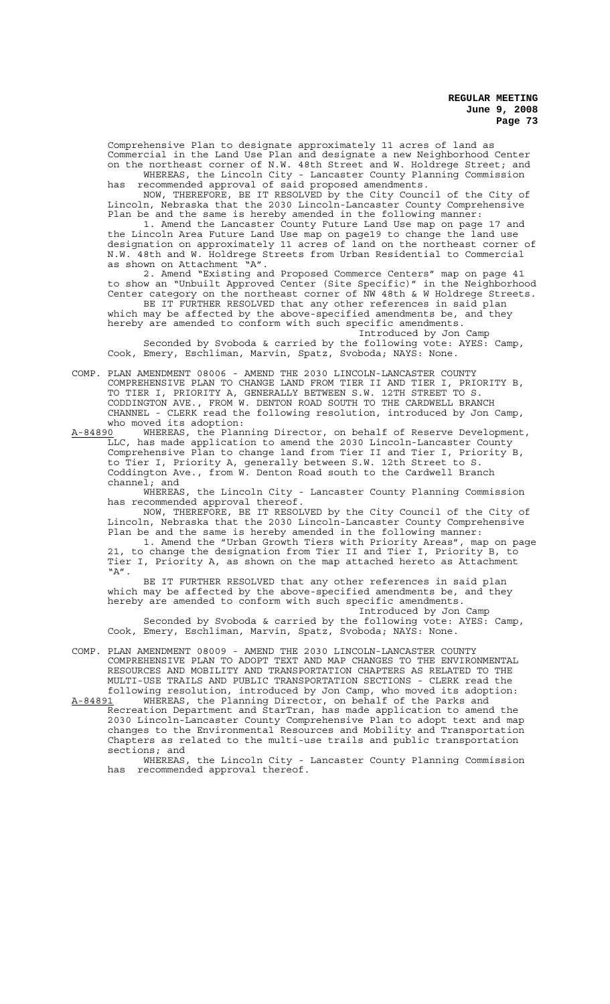Comprehensive Plan to designate approximately 11 acres of land as Commercial in the Land Use Plan and designate a new Neighborhood Center on the northeast corner of N.W. 48th Street and W. Holdrege Street; and

WHEREAS, the Lincoln City - Lancaster County Planning Commission has recommended approval of said proposed amendments. NOW, THEREFORE, BE IT RESOLVED by the City Council of the City of

Lincoln, Nebraska that the 2030 Lincoln-Lancaster County Comprehensive Plan be and the same is hereby amended in the following manner:

1. Amend the Lancaster County Future Land Use map on page 17 and the Lincoln Area Future Land Use map on page19 to change the land use designation on approximately 11 acres of land on the northeast corner of N.W. 48th and W. Holdrege Streets from Urban Residential to Commercial as shown on Attachment "A".

2. Amend "Existing and Proposed Commerce Centers" map on page 41 to show an "Unbuilt Approved Center (Site Specific)" in the Neighborhood Center category on the northeast corner of NW 48th & W Holdrege Streets.

BE IT FURTHER RESOLVED that any other references in said plan which may be affected by the above-specified amendments be, and they hereby are amended to conform with such specific amendments.

Introduced by Jon Camp

Seconded by Svoboda & carried by the following vote: AYES: Camp, Cook, Emery, Eschliman, Marvin, Spatz, Svoboda; NAYS: None.

COMP. PLAN AMENDMENT 08006 - AMEND THE 2030 LINCOLN-LANCASTER COUNTY COMPREHENSIVE PLAN TO CHANGE LAND FROM TIER II AND TIER I, PRIORITY B, TO TIER I, PRIORITY A, GENERALLY BETWEEN S.W. 12TH STREET TO S. CODDINGTON AVE., FROM W. DENTON ROAD SOUTH TO THE CARDWELL BRANCH CHANNEL - CLERK read the following resolution, introduced by Jon Camp, who moved its adoption:<br>A-84890 WHEREAS, the Plan:

WHEREAS, the Planning Director, on behalf of Reserve Development, LLC, has made application to amend the 2030 Lincoln-Lancaster County Comprehensive Plan to change land from Tier II and Tier I, Priority B, to Tier I, Priority A, generally between S.W. 12th Street to S. Coddington Ave., from W. Denton Road south to the Cardwell Branch channel; and<br>WHEREAS,

the Lincoln City - Lancaster County Planning Commission has recommended approval thereof.

NOW, THEREFORE, BE IT RESOLVED by the City Council of the City of Lincoln, Nebraska that the 2030 Lincoln-Lancaster County Comprehensive Plan be and the same is hereby amended in the following manner:

1. Amend the "Urban Growth Tiers with Priority Areas", map on page 21, to change the designation from Tier II and Tier I, Priority B, to Tier I, Priority A, as shown on the map attached hereto as Attachment  $"A"$ .

BE IT FURTHER RESOLVED that any other references in said plan which may be affected by the above-specified amendments be, and they hereby are amended to conform with such specific amendments.

Introduced by Jon Camp Seconded by Svoboda & carried by the following vote: AYES: Camp, Cook, Emery, Eschliman, Marvin, Spatz, Svoboda; NAYS: None.

COMP. PLAN AMENDMENT 08009 - AMEND THE 2030 LINCOLN-LANCASTER COUNTY COMPREHENSIVE PLAN TO ADOPT TEXT AND MAP CHANGES TO THE ENVIRONMENTAL RESOURCES AND MOBILITY AND TRANSPORTATION CHAPTERS AS RELATED TO THE MULTI-USE TRAILS AND PUBLIC TRANSPORTATION SECTIONS - CLERK read the following resolution, introduced by Jon Camp, who moved its adoption:

A-84891 WHEREAS, the Planning Director, on behalf of the Parks and Recreation Department and StarTran, has made application to amend the 2030 Lincoln-Lancaster County Comprehensive Plan to adopt text and map changes to the Environmental Resources and Mobility and Transportation Chapters as related to the multi-use trails and public transportation sections; and<br>WHEREAS,

the Lincoln City - Lancaster County Planning Commission has recommended approval thereof.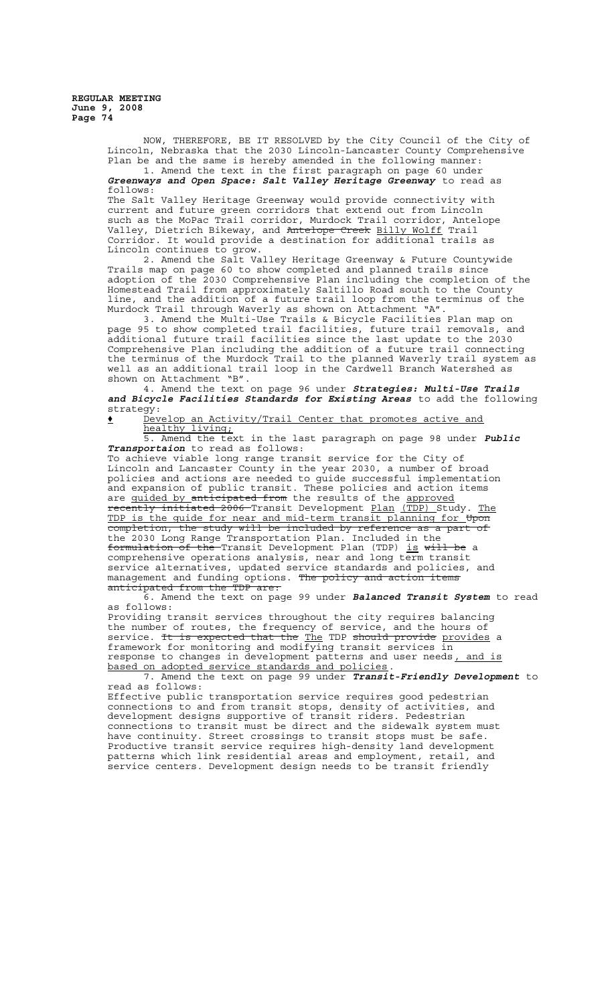> NOW, THEREFORE, BE IT RESOLVED by the City Council of the City of Lincoln, Nebraska that the 2030 Lincoln-Lancaster County Comprehensive Plan be and the same is hereby amended in the following manner:

1. Amend the text in the first paragraph on page 60 under *Greenways and Open Space: Salt Valley Heritage Greenway* to read as follows:

The Salt Valley Heritage Greenway would provide connectivity with current and future green corridors that extend out from Lincoln such as the MoPac Trail corridor, Murdock Trail corridor, Antelope Valley, Dietrich Bikeway, and <del>Antelope Creek</del> <u>Billy Wolff</u> Trail Corridor. It would provide a destination for additional trails as Lincoln continues to grow.

2. Amend the Salt Valley Heritage Greenway & Future Countywide Trails map on page 60 to show completed and planned trails since adoption of the 2030 Comprehensive Plan including the completion of the Homestead Trail from approximately Saltillo Road south to the County line, and the addition of a future trail loop from the terminus of the Murdock Trail through Waverly as shown on Attachment "A".

3. Amend the Multi-Use Trails & Bicycle Facilities Plan map on page 95 to show completed trail facilities, future trail removals, and additional future trail facilities since the last update to the 2030 Comprehensive Plan including the addition of a future trail connecting the terminus of the Murdock Trail to the planned Waverly trail system as well as an additional trail loop in the Cardwell Branch Watershed as shown on Attachment "B".

4. Amend the text on page 96 under *Strategies: Multi-Use Trails and Bicycle Facilities Standards for Existing Areas* to add the following strategy:

' Develop an Activity/Trail Center that promotes active and healthy living;

5. Amend the text in the last paragraph on page 98 under *Public Transportaion* to read as follows:

To achieve viable long range transit service for the City of Lincoln and Lancaster County in the year 2030, a number of broad policies and actions are needed to guide successful implementation and expansion of public transit. These policies and action items are quided by anticipated from the results of the approved recently initiated 2006 Transit Development Plan (TDP) Study. The TDP is the guide for near and mid-term transit planning for Upon completion, the study will be included by reference as a part of the 2030 Long Range Transportation Plan. Included in the formulation of the Transit Development Plan (TDP) is will be a comprehensive operations analysis, near and long term transit service alternatives, updated service standards and policies, and management and funding options. Th<del>e policy and action items</del> anticipated from the TDP are:

6. Amend the text on page 99 under *Balanced Transit System* to read as follows:

Providing transit services throughout the city requires balancing the number of routes, the frequency of service, and the hours of service. It is expected that the The TDP should provide provides a framework for monitoring and modifying transit services in response to changes in development patterns and user needs, and is based on adopted service standards and policies.

7. Amend the text on page 99 under *Transit-Friendly Development* to read as follows:

Effective public transportation service requires good pedestrian connections to and from transit stops, density of activities, and development designs supportive of transit riders. Pedestrian connections to transit must be direct and the sidewalk system must have continuity. Street crossings to transit stops must be safe. Productive transit service requires high-density land development patterns which link residential areas and employment, retail, and service centers. Development design needs to be transit friendly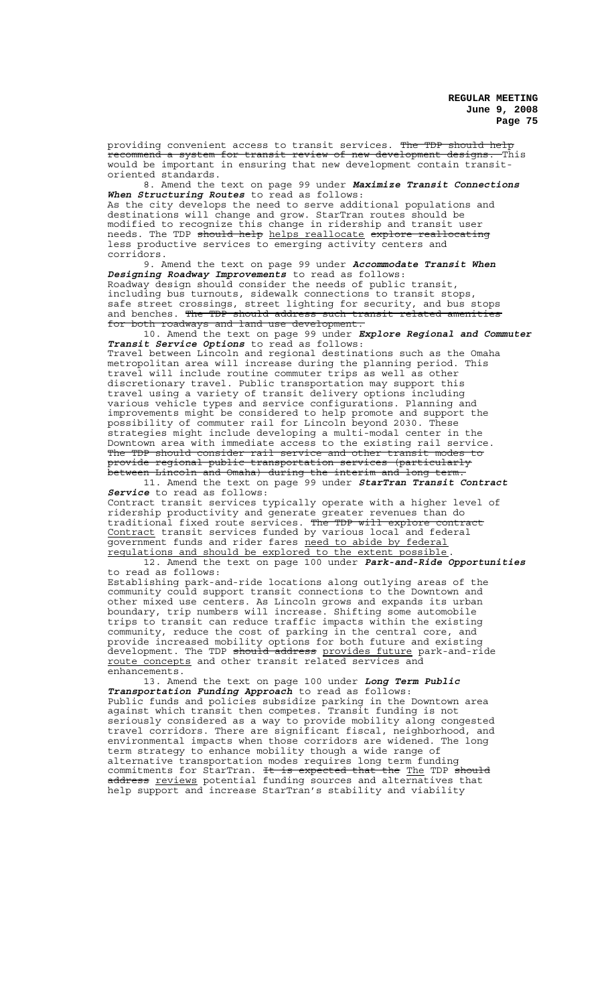providing convenient access to transit services. The TDP should help<br>recommend a system for transit review of new development designs. This recommend a system for transit review of new development designs. This would be important in ensuring that new development contain transitoriented standards.

8. Amend the text on page 99 under *Maximize Transit Connections When Structuring Routes* to read as follows:

As the city develops the need to serve additional populations and destinations will change and grow. StarTran routes should be modified to recognize this change in ridership and transit user needs. The TDP should help helps reallocate explore reallocating less productive services to emerging activity centers and corridors.

9. Amend the text on page 99 under *Accommodate Transit When Designing Roadway Improvements* to read as follows: Roadway design should consider the needs of public transit, including bus turnouts, sidewalk connections to transit stops, safe street crossings, street lighting for security, and bus stops and benches. The TDP should address such transit related amenities for both roadways and land use development.

10. Amend the text on page 99 under *Explore Regional and Commuter Transit Service Options* to read as follows: Travel between Lincoln and regional destinations such as the Omaha metropolitan area will increase during the planning period. This travel will include routine commuter trips as well as other discretionary travel. Public transportation may support this travel using a variety of transit delivery options including various vehicle types and service configurations. Planning and improvements might be considered to help promote and support the possibility of commuter rail for Lincoln beyond 2030. These strategies might include developing a multi-modal center in the Downtown area with immediate access to the existing rail service. The TDP should consider rail service and other transit modes to provide regional public transportation services (particularly between Lincoln and Omaha) during the interim and long term.

11. Amend the text on page 99 under *StarTran Transit Contract Service* to read as follows: Contract transit services typically operate with a higher level of ridership productivity and generate greater revenues than do traditional fixed route services. The TDP will explore contract Contract transit services funded by various local and federal government funds and rider fares need to abide by federal regulations and should be explored to the extent possible

12. Amend the text on page 100 under **Park-and-Ride Opportunities** to read as follows: Establishing park-and-ride locations along outlying areas of the community could support transit connections to the Downtown and other mixed use centers. As Lincoln grows and expands its urban boundary, trip numbers will increase. Shifting some automobile trips to transit can reduce traffic impacts within the existing community, reduce the cost of parking in the central core, and provide increased mobility options for both future and existing revelopment. The TDP should address provides future park-and-ride route concepts and other transit related services and

enhancements.

13. Amend the text on page 100 under *Long Term Public Transportation Funding Approach* to read as follows: Public funds and policies subsidize parking in the Downtown area against which transit then competes. Transit funding is not seriously considered as a way to provide mobility along congested travel corridors. There are significant fiscal, neighborhood, and environmental impacts when those corridors are widened. The long term strategy to enhance mobility though a wide range of alternative transportation modes requires long term funding commitments for StarTran. <del>It is expected that the</del> The TDP <del>should</del> address <u>reviews</u> potential funding sources and alternatives that help support and increase StarTran's stability and viability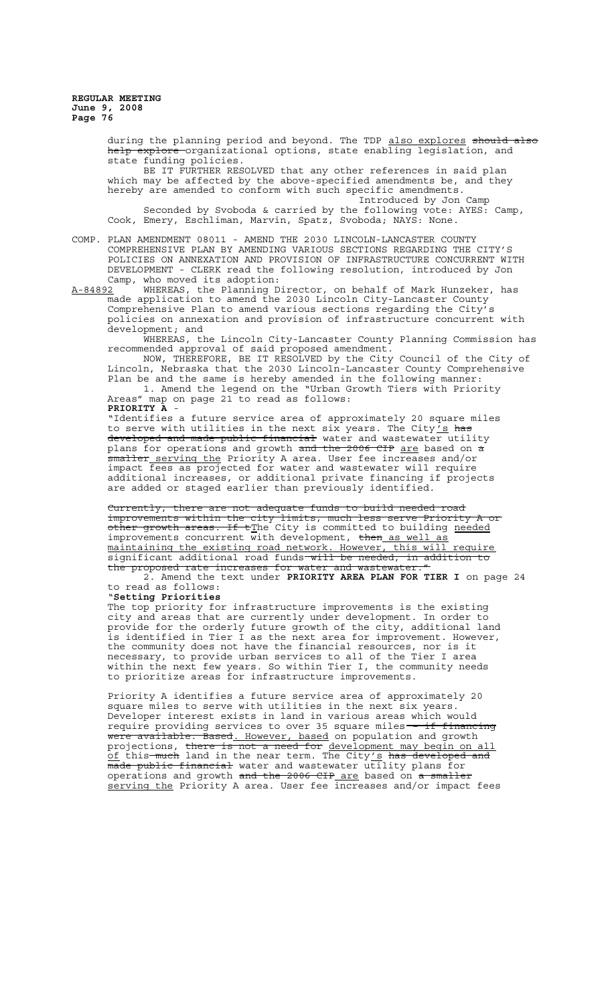during the planning period and beyond. The TDP also explores should also help explore organizational options, state enabling legislation, and state funding policies.

BE IT FURTHER RESOLVED that any other references in said plan which may be affected by the above-specified amendments be, and they hereby are amended to conform with such specific amendments.

Introduced by Jon Camp Seconded by Svoboda & carried by the following vote: AYES: Camp, Cook, Emery, Eschliman, Marvin, Spatz, Svoboda; NAYS: None.

COMP. PLAN AMENDMENT 08011 - AMEND THE 2030 LINCOLN-LANCASTER COUNTY COMPREHENSIVE PLAN BY AMENDING VARIOUS SECTIONS REGARDING THE CITY'S POLICIES ON ANNEXATION AND PROVISION OF INFRASTRUCTURE CONCURRENT WITH DEVELOPMENT - CLERK read the following resolution, introduced by Jon Camp, who moved its adoption:

A-84892 WHEREAS, the Planning Director, on behalf of Mark Hunzeker, has made application to amend the 2030 Lincoln City-Lancaster County Comprehensive Plan to amend various sections regarding the City's policies on annexation and provision of infrastructure concurrent with development; and

WHEREAS, the Lincoln City-Lancaster County Planning Commission has recommended approval of said proposed amendment.

NOW, THEREFORE, BE IT RESOLVED by the City Council of the City of Lincoln, Nebraska that the 2030 Lincoln-Lancaster County Comprehensive Plan be and the same is hereby amended in the following manner:

1. Amend the legend on the "Urban Growth Tiers with Priority Areas" map on page 21 to read as follows:

**PRIORITY A** - "Identifies a future service area of approximately 20 square miles to serve with utilities in the next six years. The City  $\frac{7}{5}$  has developed and made public financial water and wastewater utility plans for operations and growth and the 2006 CIP are based on  $\frac{1}{2}$ <del>smaller serving the</del> Priority A area. User fee increases and/or impact fees as projected for water and wastewater will require additional increases, or additional private financing if projects are added or staged earlier than previously identified.

Currently, there are not adequate funds to build needed road improvements within the city limits, much less serve Priority A or other growth areas. If t<u>T</u>he City is committed to building <u>needed</u> improvements concurrent with development, then as well as maintaining the existing road network. However, this will require significant additional road funds will be needed, in addition to the proposed rate increases for water and wastewater."

2. Amend the text under **PRIORITY AREA PLAN FOR TIER I** on page 24 to read as follows: "**Setting Priorities**

The top priority for infrastructure improvements is the existing city and areas that are currently under development. In order to provide for the orderly future growth of the city, additional land is identified in Tier I as the next area for improvement. However, the community does not have the financial resources, nor is it necessary, to provide urban services to all of the Tier I area within the next few years. So within Tier I, the community needs to prioritize areas for infrastructure improvements.

Priority A identifies a future service area of approximately 20 square miles to serve with utilities in the next six years. Developer interest exists in land in various areas which would require providing services to over 35 square miles -- if financing were available. Based. However, based on population and growth projections, there is not a need for development may begin on all of this much land in the near term. The City's has developed and  $\overline{\phantom{a}}$  made public financial water and wastewater utility plans for operations and growth <del>and the 2006 CIP <u>are</u> based on <del>a smaller</del></del> serving the Priority A area. User fee increases and/or impact fees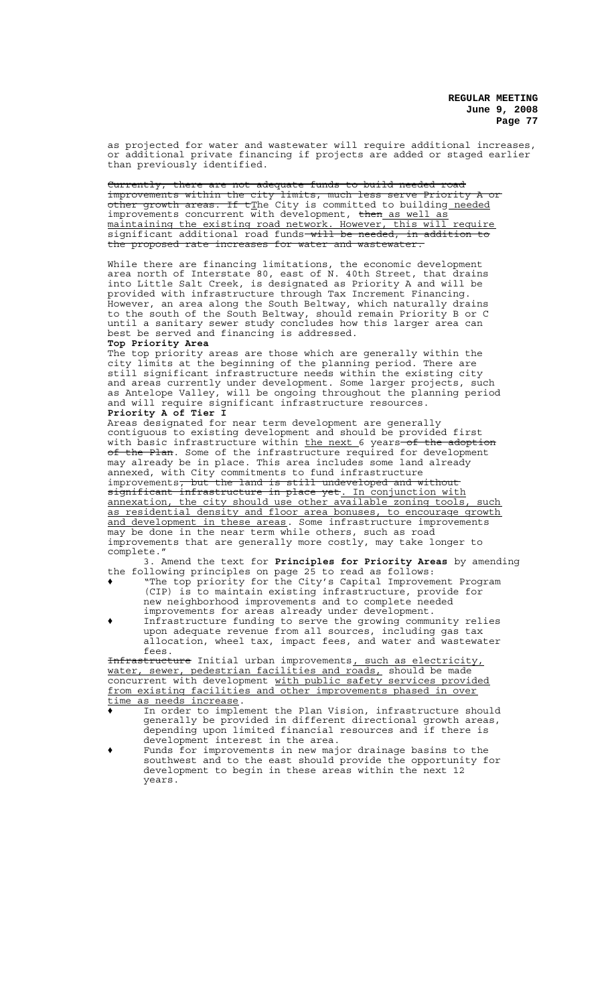as projected for water and wastewater will require additional increases, or additional private financing if projects are added or staged earlier than previously identified.

Currently, there are not adequate funds to build needed road improvements within the city limits, much less serve Priority A or other growth areas. If tThe City is committed to building needed improvements concurrent with development, then as well as maintaining the existing road network. However, this will require significant additional road funds will be needed, in addition to the proposed rate increases for water and wastewater.

While there are financing limitations, the economic development area north of Interstate 80, east of N. 40th Street, that drains into Little Salt Creek, is designated as Priority A and will be provided with infrastructure through Tax Increment Financing. However, an area along the South Beltway, which naturally drains to the south of the South Beltway, should remain Priority B or C until a sanitary sewer study concludes how this larger area can best be served and financing is addressed. **Top Priority Area**

The top priority areas are those which are generally within the city limits at the beginning of the planning period. There are still significant infrastructure needs within the existing city and areas currently under development. Some larger projects, such as Antelope Valley, will be ongoing throughout the planning period and will require significant infrastructure resources. **Priority A of Tier I**

Areas designated for near term development are generally contiguous to existing development and should be provided first with basic infrastructure within <u>the next 6 y</u>ears <del>of the adoption</del> of the Plan. Some of the infrastructure required for development may already be in place. This area includes some land already annexed, with City commitments to fund infrastructure improvements, but the land is still undeveloped and without significant infrastructure in place yet. In conjunction with annexation, the city should use other available zoning tools, such as residential density and floor area bonuses, to encourage growth and development in these areas. Some infrastructure improvements may be done in the near term while others, such as road improvements that are generally more costly, may take longer to complete."

3. Amend the text for **Principles for Priority Areas** by amending the following principles on page 25 to read as follows:

- ' "The top priority for the City's Capital Improvement Program (CIP) is to maintain existing infrastructure, provide for new neighborhood improvements and to complete needed improvements for areas already under development.
- ' Infrastructure funding to serve the growing community relies upon adequate revenue from all sources, including gas tax allocation, wheel tax, impact fees, and water and wastewater fees.

Infrastructure Initial urban improvements, such as electricity, water, sewer, pedestrian facilities and roads, should be made concurrent with development with public safety services provided from existing facilities and other improvements phased in over time as needs increase.

- ' In order to implement the Plan Vision, infrastructure should generally be provided in different directional growth areas, depending upon limited financial resources and if there is development interest in the area.
- ' Funds for improvements in new major drainage basins to the southwest and to the east should provide the opportunity for development to begin in these areas within the next 12 years.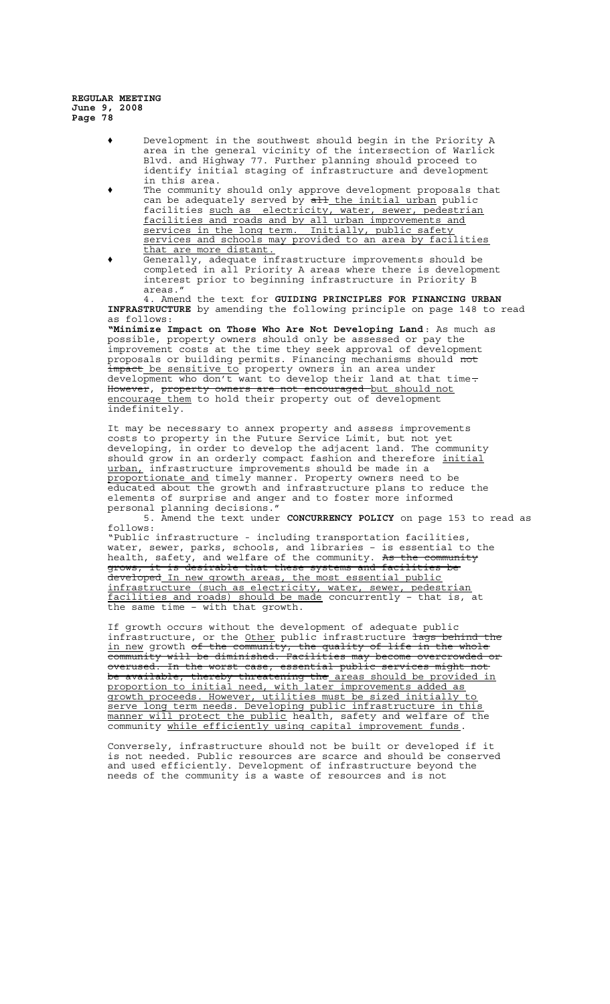- ' Development in the southwest should begin in the Priority A area in the general vicinity of the intersection of Warlick Blvd. and Highway 77. Further planning should proceed to identify initial staging of infrastructure and development in this area.
- ' The community should only approve development proposals that can be adequately served by all the initial urban public facilities such as electricity, water, sewer, pedestrian facilities and roads and by all urban improvements and services in the long term. Initially, public safety services and schools may provided to an area by facilities that are more distant.
- ' Generally, adequate infrastructure improvements should be completed in all Priority A areas where there is development interest prior to beginning infrastructure in Priority B areas."

4. Amend the text for **GUIDING PRINCIPLES FOR FINANCING URBAN INFRASTRUCTURE** by amending the following principle on page 148 to read as follows:

**"Minimize Impact on Those Who Are Not Developing Land**: As much as possible, property owners should only be assessed or pay the improvement costs at the time they seek approval of development proposals or building permits. Financing mechanisms should not impact be sensitive to property owners in an area under development who don't want to develop their land at that time. However, property owners are not encouraged but should not encourage them to hold their property out of development indefinitely.

It may be necessary to annex property and assess improvements costs to property in the Future Service Limit, but not yet developing, in order to develop the adjacent land. The community should grow in an orderly compact fashion and therefore initial urban, infrastructure improvements should be made in a proportionate and timely manner. Property owners need to be educated about the growth and infrastructure plans to reduce the elements of surprise and anger and to foster more informed personal planning decisions.

5. Amend the text under **CONCURRENCY POLICY** on page 153 to read as follows:

"Public infrastructure - including transportation facilities, water, sewer, parks, schools, and libraries – is essential to the health, safety, and welfare of the community. <del>As the community</del> grows, it is desirable that these systems and facilities be developed In new growth areas, the most essential public infrastructure (such as electricity, water, sewer, pedestrian facilities and roads) should be made concurrently – that is, at the same time – with that growth.

If growth occurs without the development of adequate public infrastructure, or the Other public infrastructure lags behind the in new growth <del>of the community, the quality of life in the whole</del> community will be diminished. Facilities may become overcrowded or overused. In the worst case, essential public services might not be available, thereby threatening the areas should be provided in proportion to initial need, with later improvements added as growth proceeds. However, utilities must be sized initially to serve long term needs. Developing public infrastructure in this manner will protect the public health, safety and welfare of the community while efficiently using capital improvement funds.

Conversely, infrastructure should not be built or developed if it is not needed. Public resources are scarce and should be conserved and used efficiently. Development of infrastructure beyond the needs of the community is a waste of resources and is not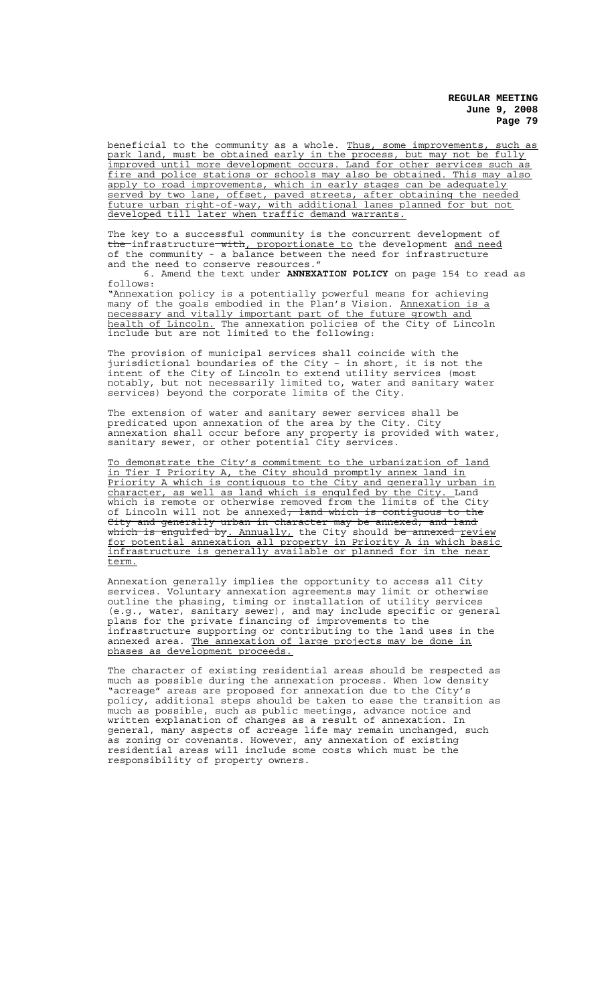beneficial to the community as a whole. Thus, some improvements, such as park land, must be obtained early in the process, but may not be fully improved until more development occurs. Land for other services such as fire and police stations or schools may also be obtained. This may also apply to road improvements, which in early stages can be adequately served by two lane, offset, paved streets, after obtaining the needed future urban right-of-way, with additional lanes planned for but not developed till later when traffic demand warrants.

The key to a successful community is the concurrent development of the infrastructure with, proportionate to the development and need of the community - a balance between the need for infrastructure and the need to conserve resources."

6. Amend the text under **ANNEXATION POLICY** on page 154 to read as follows:

"Annexation policy is a potentially powerful means for achieving many of the goals embodied in the Plan's Vision. Annexation is a necessary and vitally important part of the future growth and health of Lincoln. The annexation policies of the City of Lincoln include but are not limited to the following:

The provision of municipal services shall coincide with the jurisdictional boundaries of the City – in short, it is not the intent of the City of Lincoln to extend utility services (most notably, but not necessarily limited to, water and sanitary water services) beyond the corporate limits of the City.

The extension of water and sanitary sewer services shall be predicated upon annexation of the area by the City. City annexation shall occur before any property is provided with water, sanitary sewer, or other potential City services.

To demonstrate the City's commitment to the urbanization of land in Tier I Priority A, the City should promptly annex land in Priority A which is contiguous to the City and generally urban in character, as well as land which is engulfed by the City. Land which is remote or otherwise removed from the limits of the City of Lincoln will not be annexed<del>; land which is contiguous to the</del> City and generally urban in character may be annexed; and land which is engulfed by. Annually, the City should <del>be annexed </del>review for potential annexation all property in Priority A in which basic infrastructure is generally available or planned for in the near term.

Annexation generally implies the opportunity to access all City services. Voluntary annexation agreements may limit or otherwise outline the phasing, timing or installation of utility services (e.g., water, sanitary sewer), and may include specific or general plans for the private financing of improvements to the infrastructure supporting or contributing to the land uses in the annexed area. The annexation of large projects may be done in phases as development proceeds.

The character of existing residential areas should be respected as much as possible during the annexation process. When low density "acreage" areas are proposed for annexation due to the City's policy, additional steps should be taken to ease the transition as much as possible, such as public meetings, advance notice and written explanation of changes as a result of annexation. In general, many aspects of acreage life may remain unchanged, such as zoning or covenants. However, any annexation of existing residential areas will include some costs which must be the responsibility of property owners.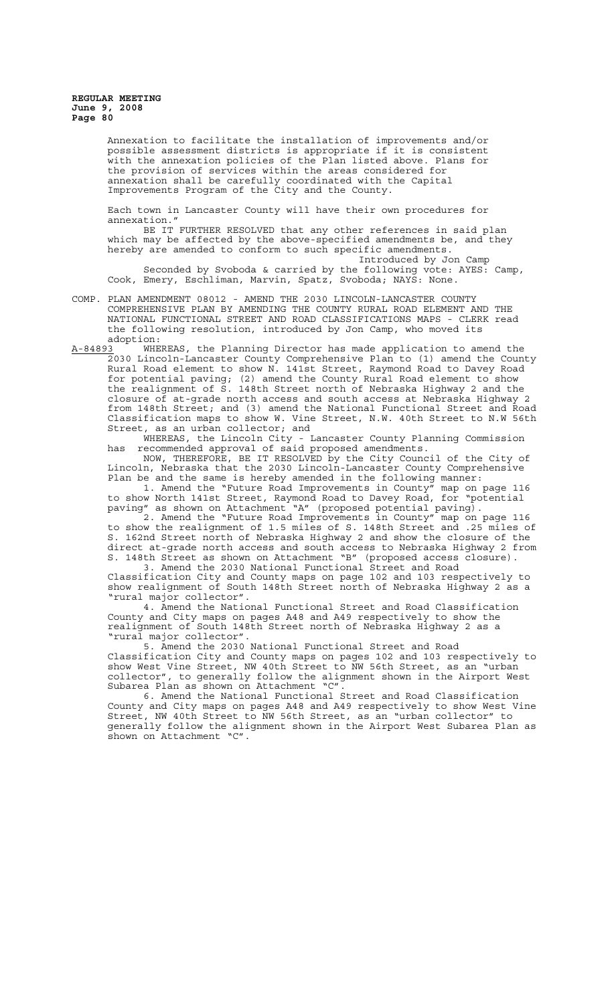Annexation to facilitate the installation of improvements and/or possible assessment districts is appropriate if it is consistent with the annexation policies of the Plan listed above. the provision of services within the areas considered for annexation shall be carefully coordinated with the Capital Improvements Program of the City and the County.

Each town in Lancaster County will have their own procedures for annexation."

BE IT FURTHER RESOLVED that any other references in said plan which may be affected by the above-specified amendments be, and they hereby are amended to conform to such specific amendments.

Introduced by Jon Camp Seconded by Svoboda & carried by the following vote: AYES: Camp, Cook, Emery, Eschliman, Marvin, Spatz, Svoboda; NAYS: None.

COMP. PLAN AMENDMENT 08012 - AMEND THE 2030 LINCOLN-LANCASTER COUNTY COMPREHENSIVE PLAN BY AMENDING THE COUNTY RURAL ROAD ELEMENT AND THE NATIONAL FUNCTIONAL STREET AND ROAD CLASSIFICATIONS MAPS - CLERK read the following resolution, introduced by Jon Camp, who moved its

adoption:<br><u>A-84893</u> WHE WHEREAS, the Planning Director has made application to amend the 2030 Lincoln-Lancaster County Comprehensive Plan to (1) amend the County Rural Road element to show N. 141st Street, Raymond Road to Davey Road for potential paving; (2) amend the County Rural Road element to show the realignment of S. 148th Street north of Nebraska Highway 2 and the closure of at-grade north access and south access at Nebraska Highway 2 from 148th Street; and (3) amend the National Functional Street and Road Classification maps to show W. Vine Street, N.W. 40th Street to N.W 56th Street, as an urban collector; and

WHEREAS, the Lincoln City - Lancaster County Planning Commission has recommended approval of said proposed amendments.

NOW, THEREFORE, BE IT RESOLVED by the City Council of the City of Lincoln, Nebraska that the 2030 Lincoln-Lancaster County Comprehensive Plan be and the same is hereby amended in the following manner:

1. Amend the "Future Road Improvements in County" map on page 116 to show North 141st Street, Raymond Road to Davey Road, for "potential paving" as shown on Attachment "A" (proposed potential paving).

2. Amend the "Future Road Improvements in County" map on page 116 to show the realignment of 1.5 miles of S. 148th Street and .25 miles of S. 162nd Street north of Nebraska Highway 2 and show the closure of the direct at-grade north access and south access to Nebraska Highway 2 from S. 148th Street as shown on Attachment "B" (proposed access closure). 3. Amend the 2030 National Functional Street and Road

Classification City and County maps on page 102 and 103 respectively to show realignment of South 148th Street north of Nebraska Highway 2 as a "rural major collector".

4. Amend the National Functional Street and Road Classification County and City maps on pages A48 and A49 respectively to show the realignment of South 148th Street north of Nebraska Highway 2 as a "rural major collector".

5. Amend the 2030 National Functional Street and Road Classification City and County maps on pages 102 and 103 respectively to show West Vine Street, NW 40th Street to NW 56th Street, as an "urban collector", to generally follow the alignment shown in the Airport West Subarea Plan as shown on Attachment "C".

6. Amend the National Functional Street and Road Classification County and City maps on pages A48 and A49 respectively to show West Vine Street, NW 40th Street to NW 56th Street, as an "urban collector" to generally follow the alignment shown in the Airport West Subarea Plan as shown on Attachment "C".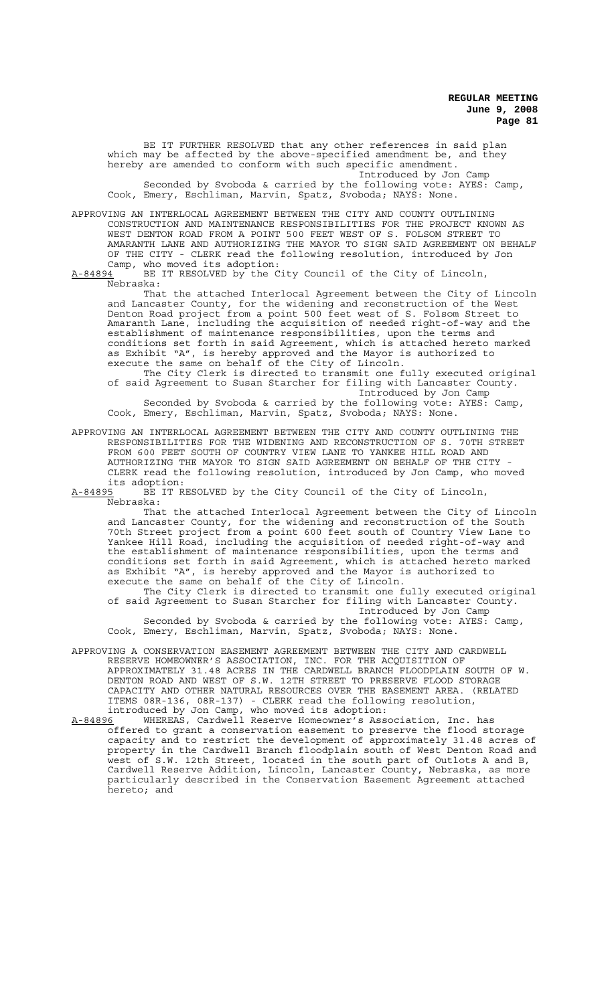BE IT FURTHER RESOLVED that any other references in said plan which may be affected by the above-specified amendment be, and they hereby are amended to conform with such specific amendment. Introduced by Jon Camp

Seconded by Svoboda & carried by the following vote: AYES: Camp, Cook, Emery, Eschliman, Marvin, Spatz, Svoboda; NAYS: None.

APPROVING AN INTERLOCAL AGREEMENT BETWEEN THE CITY AND COUNTY OUTLINING CONSTRUCTION AND MAINTENANCE RESPONSIBILITIES FOR THE PROJECT KNOWN AS WEST DENTON ROAD FROM A POINT 500 FEET WEST OF S. FOLSOM STREET TO AMARANTH LANE AND AUTHORIZING THE MAYOR TO SIGN SAID AGREEMENT ON BEHALF OF THE CITY - CLERK read the following resolution, introduced by Jon Camp, who moved its adoption:<br>A-84894 BE IT RESOLVED by the C

BE IT RESOLVED by the City Council of the City of Lincoln, Nebraska:

That the attached Interlocal Agreement between the City of Lincoln and Lancaster County, for the widening and reconstruction of the West Denton Road project from a point 500 feet west of S. Folsom Street to Amaranth Lane, including the acquisition of needed right-of-way and the establishment of maintenance responsibilities, upon the terms and conditions set forth in said Agreement, which is attached hereto marked as Exhibit "A", is hereby approved and the Mayor is authorized to execute the same on behalf of the City of Lincoln.

The City Clerk is directed to transmit one fully executed original of said Agreement to Susan Starcher for filing with Lancaster County. Introduced by Jon Camp

Seconded by Svoboda & carried by the following vote: AYES: Camp, Cook, Emery, Eschliman, Marvin, Spatz, Svoboda; NAYS: None.

APPROVING AN INTERLOCAL AGREEMENT BETWEEN THE CITY AND COUNTY OUTLINING THE RESPONSIBILITIES FOR THE WIDENING AND RECONSTRUCTION OF S. 70TH STREET FROM 600 FEET SOUTH OF COUNTRY VIEW LANE TO YANKEE HILL ROAD AND AUTHORIZING THE MAYOR TO SIGN SAID AGREEMENT ON BEHALF OF THE CITY CLERK read the following resolution, introduced by Jon Camp, who moved

its adoption:<br>A-84895 BE IT R BE IT RESOLVED by the City Council of the City of Lincoln, Nebraska:

That the attached Interlocal Agreement between the City of Lincoln and Lancaster County, for the widening and reconstruction of the South 70th Street project from a point 600 feet south of Country View Lane to Yankee Hill Road, including the acquisition of needed right-of-way and the establishment of maintenance responsibilities, upon the terms and conditions set forth in said Agreement, which is attached hereto marked as Exhibit "A", is hereby approved and the Mayor is authorized to execute the same on behalf of the City of Lincoln.

The City Clerk is directed to transmit one fully executed original of said Agreement to Susan Starcher for filing with Lancaster County. Introduced by Jon Camp

Seconded by Svoboda & carried by the following vote: AYES: Camp, Cook, Emery, Eschliman, Marvin, Spatz, Svoboda; NAYS: None.

APPROVING A CONSERVATION EASEMENT AGREEMENT BETWEEN THE CITY AND CARDWELL RESERVE HOMEOWNER'S ASSOCIATION, INC. FOR THE ACQUISITION OF APPROXIMATELY 31.48 ACRES IN THE CARDWELL BRANCH FLOODPLAIN SOUTH OF W. DENTON ROAD AND WEST OF S.W. 12TH STREET TO PRESERVE FLOOD STORAGE CAPACITY AND OTHER NATURAL RESOURCES OVER THE EASEMENT AREA. (RELATED ITEMS 08R-136, 08R-137) - CLERK read the following resolution, introduced by Jon Camp, who moved its adoption:

A-84896 MHEREAS, Cardwell Reserve Homeowner's Association, Inc. has offered to grant a conservation easement to preserve the flood storage capacity and to restrict the development of approximately 31.48 acres of property in the Cardwell Branch floodplain south of West Denton Road and west of S.W. 12th Street, located in the south part of Outlots A and B, Cardwell Reserve Addition, Lincoln, Lancaster County, Nebraska, as more particularly described in the Conservation Easement Agreement attached .<br>hereto; and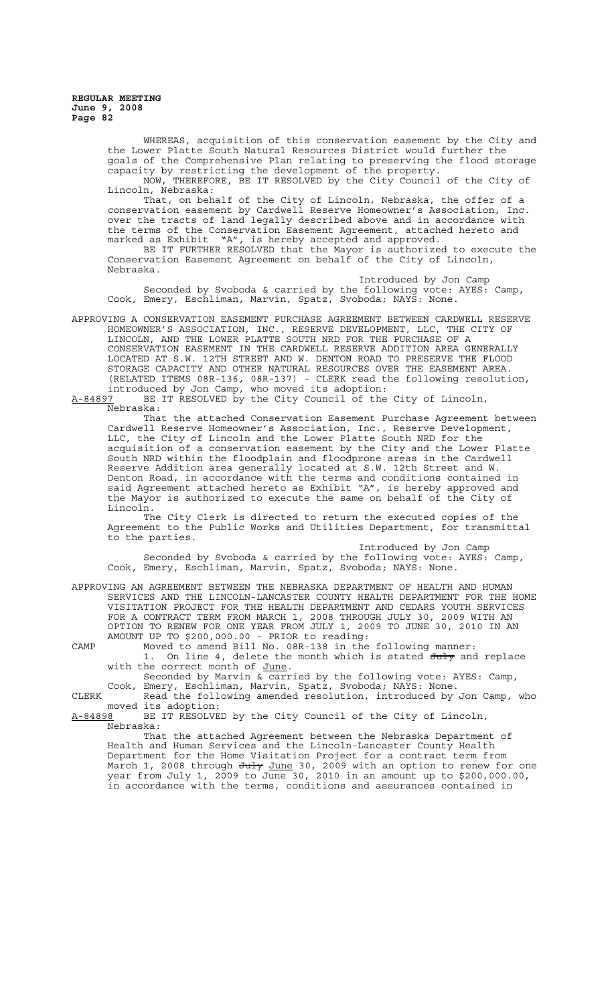> WHEREAS, acquisition of this conservation easement by the City and the Lower Platte South Natural Resources District would further the goals of the Comprehensive Plan relating to preserving the flood storage capacity by restricting the development of the property. NOW, THEREFORE, BE IT RESOLVED by the City Council of the City of

> Lincoln, Nebraska: That, on behalf of the City of Lincoln, Nebraska, the offer of a conservation easement by Cardwell Reserve Homeowner's Association, Inc. over the tracts of land legally described above and in accordance with the terms of the Conservation Easement Agreement, attached hereto and marked as Exhibit "A", is hereby accepted and approved.

> BE IT FURTHER RESOLVED that the Mayor is authorized to execute the Conservation Easement Agreement on behalf of the City of Lincoln, Nebraska.

Introduced by Jon Camp Seconded by Svoboda & carried by the following vote: AYES: Camp, Cook, Emery, Eschliman, Marvin, Spatz, Svoboda; NAYS: None.

APPROVING A CONSERVATION EASEMENT PURCHASE AGREEMENT BETWEEN CARDWELL RESERVE HOMEOWNER'S ASSOCIATION, INC., RESERVE DEVELOPMENT, LLC, THE CITY OF LINCOLN, AND THE LOWER PLATTE SOUTH NRD FOR THE PURCHASE OF A CONSERVATION EASEMENT IN THE CARDWELL RESERVE ADDITION AREA GENERALLY LOCATED AT S.W. 12TH STREET AND W. DENTON ROAD TO PRESERVE THE FLOOD STORAGE CAPACITY AND OTHER NATURAL RESOURCES OVER THE EASEMENT AREA. (RELATED ITEMS 08R-136, 08R-137) - CLERK read the following resolution, introduced by Jon Camp, who moved its adoption:

A-84897 BE IT RESOLVED by the City Council of the City of Lincoln,  $A-84897$  BE<br>Nebraska:

That the attached Conservation Easement Purchase Agreement between Cardwell Reserve Homeowner's Association, Inc., Reserve Development, LLC, the City of Lincoln and the Lower Platte South NRD for the acquisition of a conservation easement by the City and the Lower Platte South NRD within the floodplain and floodprone areas in the Cardwell Reserve Addition area generally located at S.W. 12th Street and W. Denton Road, in accordance with the terms and conditions contained in said Agreement attached hereto as Exhibit "A", is hereby approved and the Mayor is authorized to execute the same on behalf of the City of Lincoln.

The City Clerk is directed to return the executed copies of the Agreement to the Public Works and Utilities Department, for transmittal to the parties.

Introduced by Jon Camp Seconded by Svoboda & carried by the following vote: AYES: Camp, Cook, Emery, Eschliman, Marvin, Spatz, Svoboda; NAYS: None.

APPROVING AN AGREEMENT BETWEEN THE NEBRASKA DEPARTMENT OF HEALTH AND HUMAN SERVICES AND THE LINCOLN-LANCASTER COUNTY HEALTH DEPARTMENT FOR THE HOME VISITATION PROJECT FOR THE HEALTH DEPARTMENT AND CEDARS YOUTH SERVICES FOR A CONTRACT TERM FROM MARCH 1, 2008 THROUGH JULY 30, 2009 WITH AN OPTION TO RENEW FOR ONE YEAR FROM JULY 1, 2009 TO JUNE 30, 2010 IN AN AMOUNT UP TO \$200,000.00 - PRIOR to reading:

CAMP Moved to amend Bill No. 08R-138 in the following manner: 1. On line 4, delete the month which is stated July and replace with the correct month of June.

Seconded by Marvin & carried by the following vote: AYES: Camp, Cook, Emery, Eschliman, Marvin, Spatz, Svoboda; NAYS: None.

CLERK Read the following amended resolution, introduced by Jon Camp, who moved its adoption:<br><u>A-84898</u> BE IT RESOLVE

BE IT RESOLVED by the City Council of the City of Lincoln, Nebraska:

That the attached Agreement between the Nebraska Department of Health and Human Services and the Lincoln-Lancaster County Health Department for the Home Visitation Project for a contract March 1, 2008 through <del>July</del> <u>June</u> 30, 2009 with an option to renew for one year from July 1, 2009 to June 30, 2010 in an amount up to \$200,000.00, in accordance with the terms, conditions and assurances contained in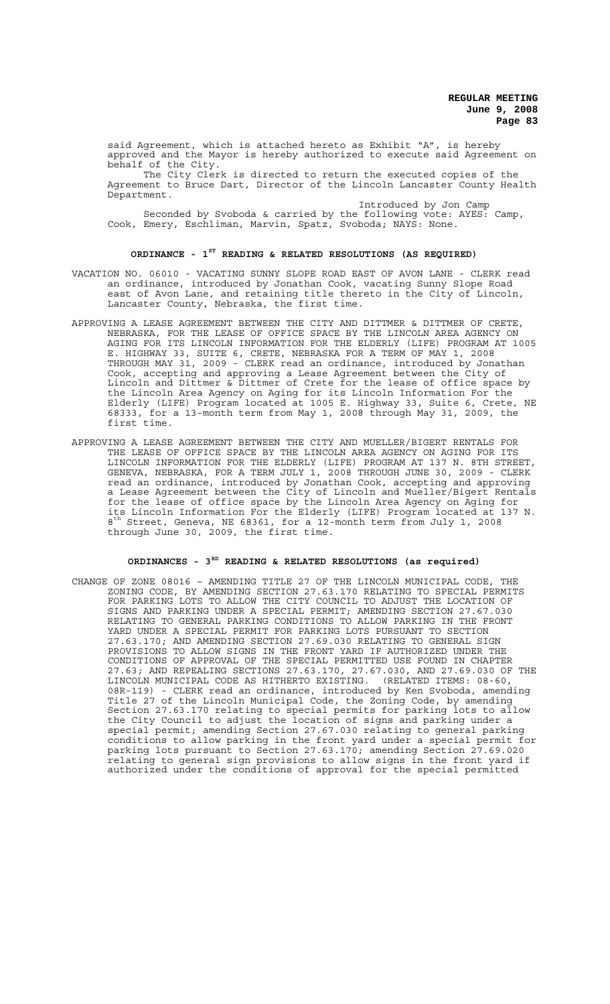said Agreement, which is attached hereto as Exhibit "A", is hereby approved and the Mayor is hereby authorized to execute said Agreement on behalf of the City.

The City Clerk is directed to return the executed copies of the Agreement to Bruce Dart, Director of the Lincoln Lancaster County Health Department.

Introduced by Jon Camp Seconded by Svoboda & carried by the following vote: AYES: Camp, Cook, Emery, Eschliman, Marvin, Spatz, Svoboda; NAYS: None.

# **ORDINANCE - 1ST READING & RELATED RESOLUTIONS (AS REQUIRED)**

- VACATION NO. 06010 VACATING SUNNY SLOPE ROAD EAST OF AVON LANE CLERK read an ordinance, introduced by Jonathan Cook, vacating Sunny Slope Road east of Avon Lane, and retaining title thereto in the City of Lincoln, Lancaster County, Nebraska, the first time.
- APPROVING A LEASE AGREEMENT BETWEEN THE CITY AND DITTMER & DITTMER OF CRETE, NEBRASKA, FOR THE LEASE OF OFFICE SPACE BY THE LINCOLN AREA AGENCY ON AGING FOR ITS LINCOLN INFORMATION FOR THE ELDERLY (LIFE) PROGRAM AT 1005 E. HIGHWAY 33, SUITE 6, CRETE, NEBRASKA FOR A TERM OF MAY 1, 2008 THROUGH MAY 31, 2009 - CLERK read an ordinance, introduced by Jonathan Cook, accepting and approving a Lease Agreement between the City of Lincoln and Dittmer & Dittmer of Crete for the lease of office space by the Lincoln Area Agency on Aging for its Lincoln Information For the Elderly (LIFE) Program located at 1005 E. Highway 33, Suite 6, Crete, NE 68333, for a 13-month term from May 1, 2008 through May 31, 2009, the first time.
- APPROVING A LEASE AGREEMENT BETWEEN THE CITY AND MUELLER/BIGERT RENTALS FOR THE LEASE OF OFFICE SPACE BY THE LINCOLN AREA AGENCY ON AGING FOR ITS LINCOLN INFORMATION FOR THE ELDERLY (LIFE) PROGRAM AT 137 N. 8TH STREET, GENEVA, NEBRASKA, FOR A TERM JULY 1, 2008 THROUGH JUNE 30, 2009 - CLERK read an ordinance, introduced by Jonathan Cook, accepting and approving a Lease Agreement between the City of Lincoln and Mueller/Bigert Rentals for the lease of office space by the Lincoln Area Agency on Aging for its Lincoln Information For the Elderly (LIFE) Program located at 137 N. 8<sup>th</sup> Street, Geneva, NE 68361, for a 12-month term from July 1, 2008 through June 30, 2009, the first time.

# **ORDINANCES - 3RD READING & RELATED RESOLUTIONS (as required)**

CHANGE OF ZONE 08016 – AMENDING TITLE 27 OF THE LINCOLN MUNICIPAL CODE, THE ZONING CODE, BY AMENDING SECTION 27.63.170 RELATING TO SPECIAL PERMITS FOR PARKING LOTS TO ALLOW THE CITY COUNCIL TO ADJUST THE LOCATION OF SIGNS AND PARKING UNDER A SPECIAL PERMIT; AMENDING SECTION 27.67.030 RELATING TO GENERAL PARKING CONDITIONS TO ALLOW PARKING IN THE FRONT YARD UNDER A SPECIAL PERMIT FOR PARKING LOTS PURSUANT TO SECTION 27.63.170; AND AMENDING SECTION 27.69.030 RELATING TO GENERAL SIGN PROVISIONS TO ALLOW SIGNS IN THE FRONT YARD IF AUTHORIZED UNDER THE CONDITIONS OF APPROVAL OF THE SPECIAL PERMITTED USE FOUND IN CHAPTER 27.63; AND REPEALING SECTIONS 27.63.170, 27.67.030, AND 27.69.030 OF THE LINCOLN MUNICIPAL CODE AS HITHERTO EXISTING. (RELATED ITEMS: 08-60, 08R-119) - CLERK read an ordinance, introduced by Ken Svoboda, amending Title 27 of the Lincoln Municipal Code, the Zoning Code, by amending Section 27.63.170 relating to special permits for parking lots to allow the City Council to adjust the location of signs and parking under a special permit; amending Section 27.67.030 relating to general parking conditions to allow parking in the front yard under a special permit for parking lots pursuant to Section 27.63.170; amending Section 27.69.020 relating to general sign provisions to allow signs in the front yard if authorized under the conditions of approval for the special permitted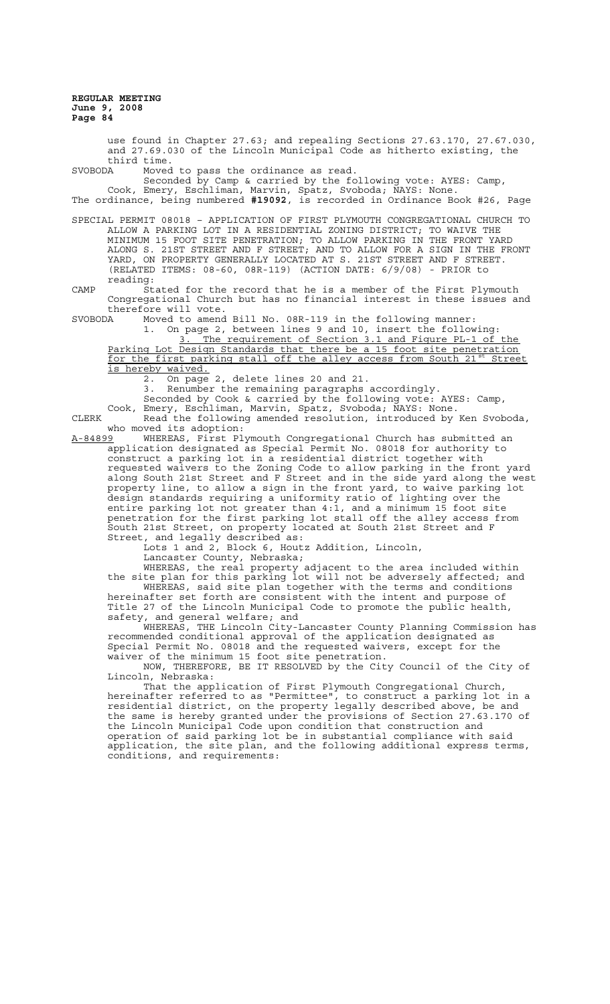use found in Chapter 27.63; and repealing Sections 27.63.170, 27.67.030, and 27.69.030 of the Lincoln Municipal Code as hitherto existing, the third time.<br>SVOBODA Moved

Moved to pass the ordinance as read.

Seconded by Camp & carried by the following vote: AYES: Camp, Cook, Emery, Eschliman, Marvin, Spatz, Svoboda; NAYS: None.

The ordinance, being numbered **#19092**, is recorded in Ordinance Book #26, Page

SPECIAL PERMIT 08018 – APPLICATION OF FIRST PLYMOUTH CONGREGATIONAL CHURCH TO ALLOW A PARKING LOT IN A RESIDENTIAL ZONING DISTRICT; TO WAIVE THE MINIMUM 15 FOOT SITE PENETRATION; TO ALLOW PARKING IN THE FRONT YARD ALONG S. 21ST STREET AND F STREET; AND TO ALLOW FOR A SIGN IN THE FRONT YARD, ON PROPERTY GENERALLY LOCATED AT S. 21ST STREET AND F STREET. (RELATED ITEMS: 08-60, 08R-119) (ACTION DATE: 6/9/08) - PRIOR to reading:

CAMP Stated for the record that he is a member of the First Plymouth Congregational Church but has no financial interest in these issues and therefore will vote.

SVOBODA Moved to amend Bill No. 08R-119 in the following manner:

1. On page 2, between lines 9 and 10, insert the following: 3. The requirement of Section 3.1 and Figure PL-1 of the Parking Lot Design Standards that there be a 15 foot site penetration for the first parking stall off the alley access from South 21st Street is hereby waived.

2. On page 2, delete lines 20 and 21.

3. Renumber the remaining paragraphs accordingly.

Seconded by Cook & carried by the following vote: AYES: Camp,

Cook, Emery, Eschliman, Marvin, Spatz, Svoboda; NAYS: None. CLERK Read the following amended resolution, introduced by Ken Svoboda,

who moved its adoption:<br>A-84899 WHEREAS, First Pl A-84899 MHEREAS, First Plymouth Congregational Church has submitted an application designated as Special Permit No. 08018 for authority to construct a parking lot in a residential district together with requested waivers to the Zoning Code to allow parking in the front yard along South 21st Street and F Street and in the side yard along the west property line, to allow a sign in the front yard, to waive parking lot design standards requiring a uniformity ratio of lighting over the entire parking lot not greater than 4:1, and a minimum 15 foot site penetration for the first parking lot stall off the alley access from South 21st Street, on property located at South 21st Street and F Street, and legally described as:

Lots 1 and 2, Block 6, Houtz Addition, Lincoln, Lancaster County, Nebraska;

WHEREAS, the real property adjacent to the area included within the site plan for this parking lot will not be adversely affected; and WHEREAS, said site plan together with the terms and conditions hereinafter set forth are consistent with the intent and purpose of Title 27 of the Lincoln Municipal Code to promote the public health, safety, and general welfare; and

WHEREAS, THE Lincoln City-Lancaster County Planning Commission has recommended conditional approval of the application designated as Special Permit No. 08018 and the requested waivers, except for the waiver of the minimum 15 foot site penetration.

NOW, THEREFORE, BE IT RESOLVED by the City Council of the City of Lincoln, Nebraska:

That the application of First Plymouth Congregational Church, hereinafter referred to as "Permittee", to construct a parking lot in a residential district, on the property legally described above, be and the same is hereby granted under the provisions of Section 27.63.170 of the Lincoln Municipal Code upon condition that construction and operation of said parking lot be in substantial compliance with said application, the site plan, and the following additional express terms, conditions, and requirements: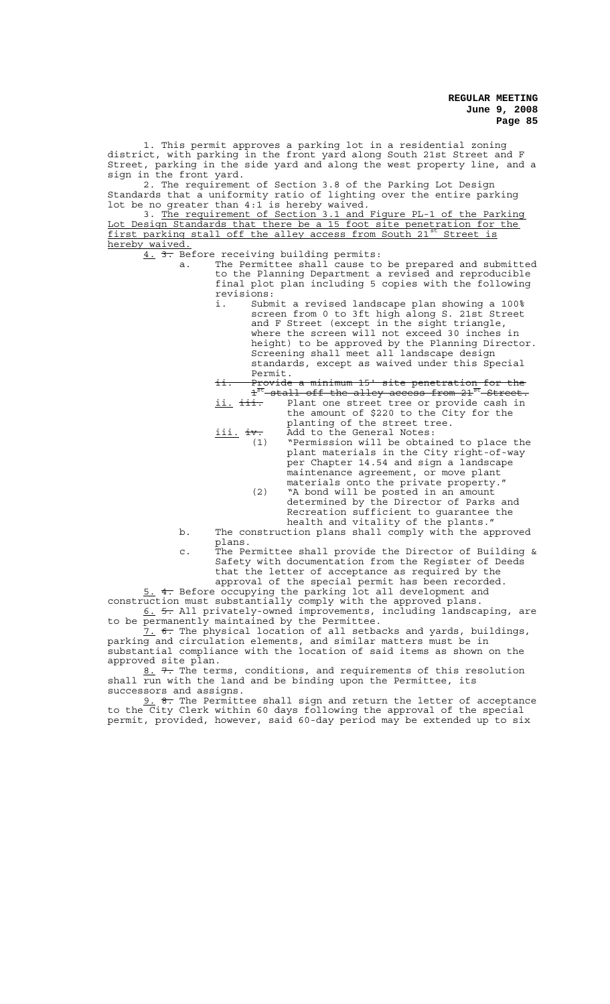1. This permit approves a parking lot in a residential zoning district, with parking in the front yard along South 21st Street and F Street, parking in the side yard and along the west property line, and a sign in the front yard.

2. The requirement of Section 3.8 of the Parking Lot Design Standards that a uniformity ratio of lighting over the entire parking lot be no greater than 4:1 is hereby waived.

3. The requirement of Section 3.1 and Figure PL-1 of the Parking Lot Design Standards that there be a 15 foot site penetration for the first parking stall off the alley access from South 21st Street is hereby waived.

4. 3. Before receiving building permits:

- a. The Permittee shall cause to be prepared and submitted to the Planning Department a revised and reproducible final plot plan including 5 copies with the following revisions:
	- i. Submit a revised landscape plan showing a 100% screen from 0 to 3ft high along S. 21st Street and F Street (except in the sight triangle, where the screen will not exceed 30 inches in height) to be approved by the Planning Director. Screening shall meet all landscape design standards, except as waived under this Special

Permit.<br><del>Provide<br>1<sup>st</sup> atal</del> ii. Provide a minimum 15' site penetration for the  $\texttt{1}^\texttt{st}\texttt{-shell}$  off the alley access from 21 $^\texttt{st}\texttt{-Street}$ . ii. iii. Plant one street tree or provide cash in

- the amount of \$220 to the City for the planting of the street tree. iii. iv. Add to the General Notes: iii. iv. Add to the General Notes:<br>(1) "Permission will be obtained to place the
	- plant materials in the City right-of-way per Chapter 14.54 and sign a landscape maintenance agreement, or move plant materials onto the private property."
		- (2) "A bond will be posted in an amount determined by the Director of Parks and Recreation sufficient to guarantee the health and vitality of the plants."
- b. The construction plans shall comply with the approved plans.
- c. The Permittee shall provide the Director of Building & Safety with documentation from the Register of Deeds that the letter of acceptance as required by the approval of the special permit has been recorded.

5. 4. Before occupying the parking lot all development and

construction must substantially comply with the approved plans. 6. 5. All privately-owned improvements, including landscaping, are to be permanently maintained by the Permittee.

 $7.$   $6.$  The physical location of all setbacks and yards, buildings, parking and circulation elements, and similar matters must be in substantial compliance with the location of said items as shown on the approved site plan.

8. 7. The terms, conditions, and requirements of this resolution shall run with the land and be binding upon the Permittee, its successors and assigns.

9. 8. The Permittee shall sign and return the letter of acceptance to the City Clerk within 60 days following the approval of the special permit, provided, however, said 60-day period may be extended up to six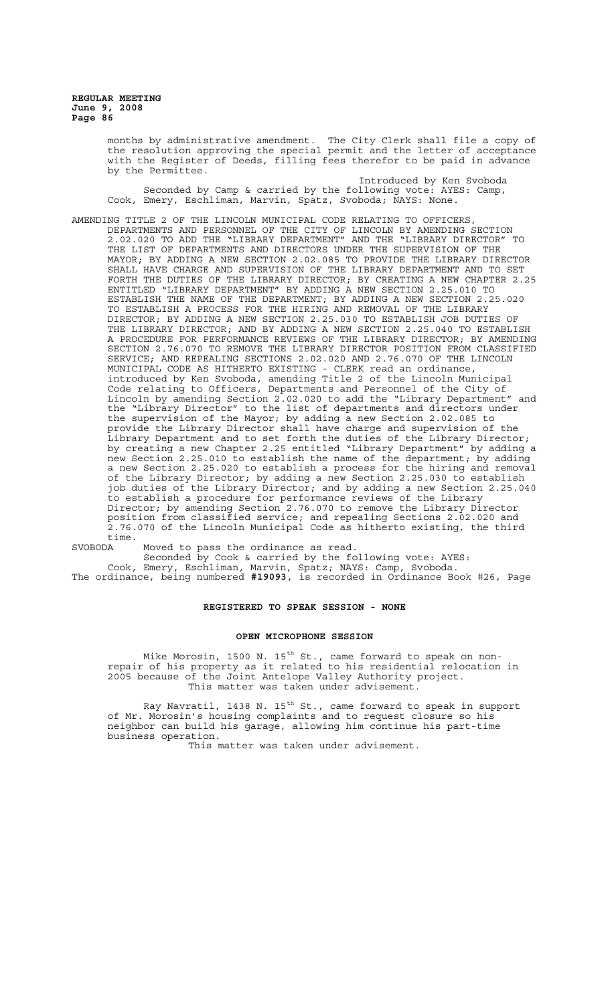> months by administrative amendment. The City Clerk shall file a copy of the resolution approving the special permit and the letter of acceptance with the Register of Deeds, filling fees therefor to be paid in advance by the Permittee.

Introduced by Ken Svoboda Seconded by Camp & carried by the following vote: AYES: Camp, Cook, Emery, Eschliman, Marvin, Spatz, Svoboda; NAYS: None.

AMENDING TITLE 2 OF THE LINCOLN MUNICIPAL CODE RELATING TO OFFICERS, DEPARTMENTS AND PERSONNEL OF THE CITY OF LINCOLN BY AMENDING SECTION 2.02.020 TO ADD THE "LIBRARY DEPARTMENT" AND THE "LIBRARY DIRECTOR" TO THE LIST OF DEPARTMENTS AND DIRECTORS UNDER THE SUPERVISION OF THE MAYOR; BY ADDING A NEW SECTION 2.02.085 TO PROVIDE THE LIBRARY DIRECTOR SHALL HAVE CHARGE AND SUPERVISION OF THE LIBRARY DEPARTMENT AND TO SET FORTH THE DUTIES OF THE LIBRARY DIRECTOR; BY CREATING A NEW CHAPTER 2.25 ENTITLED "LIBRARY DEPARTMENT" BY ADDING A NEW SECTION 2.25.010 TO ESTABLISH THE NAME OF THE DEPARTMENT; BY ADDING A NEW SECTION 2.25.020 TO ESTABLISH A PROCESS FOR THE HIRING AND REMOVAL OF THE LIBRARY DIRECTOR; BY ADDING A NEW SECTION 2.25.030 TO ESTABLISH JOB DUTIES OF THE LIBRARY DIRECTOR; AND BY ADDING A NEW SECTION 2.25.040 TO ESTABLISH A PROCEDURE FOR PERFORMANCE REVIEWS OF THE LIBRARY DIRECTOR; BY AMENDING SECTION 2.76.070 TO REMOVE THE LIBRARY DIRECTOR POSITION FROM CLASSIFIED SERVICE; AND REPEALING SECTIONS 2.02.020 AND 2.76.070 OF THE LINCOLN MUNICIPAL CODE AS HITHERTO EXISTING - CLERK read an ordinance, introduced by Ken Svoboda, amending Title 2 of the Lincoln Municipal Code relating to Officers, Departments and Personnel of the City of Lincoln by amending Section 2.02.020 to add the "Library Department" and the "Library Director" to the list of departments and directors under the supervision of the Mayor; by adding a new Section 2.02.085 to provide the Library Director shall have charge and supervision of the proviss one finally also set forth the duties of the Library Director;<br>Library Department and to set forth the duties of the Library Depart (by adding a by creating a new Chapter 2.25 entitled "Library Department" by adding a new Section 2.25.010 to establish the name of the department; by adding a new Section 2.25.020 to establish a process for the hiring and removal of the Library Director; by adding a new Section 2.25.030 to establish job duties of the Library Director; and by adding a new Section 2.25.040 to establish a procedure for performance reviews of the Library Director; by amending Section 2.76.070 to remove the Library Director position from classified service; and repealing Sections 2.02.020 and 2.76.070 of the Lincoln Municipal Code as hitherto existing, the third time.<br>SVOBODA

SVOBODA Moved to pass the ordinance as read.

Seconded by Cook & carried by the following vote: AYES: Cook, Emery, Eschliman, Marvin, Spatz; NAYS: Camp, Svoboda.

The ordinance, being numbered **#19093**, is recorded in Ordinance Book #26, Page

## **REGISTERED TO SPEAK SESSION - NONE**

#### **OPEN MICROPHONE SESSION**

Mike Morosin, 1500 N. 15<sup>th</sup> St., came forward to speak on nonrepair of his property as it related to his residential relocation in 2005 because of the Joint Antelope Valley Authority project. This matter was taken under advisement.

Ray Navratil, 1438 N. 15<sup>th</sup> St., came forward to speak in support of Mr. Morosin's housing complaints and to request closure so his neighbor can build his garage, allowing him continue his part-time business operation.

This matter was taken under advisement.